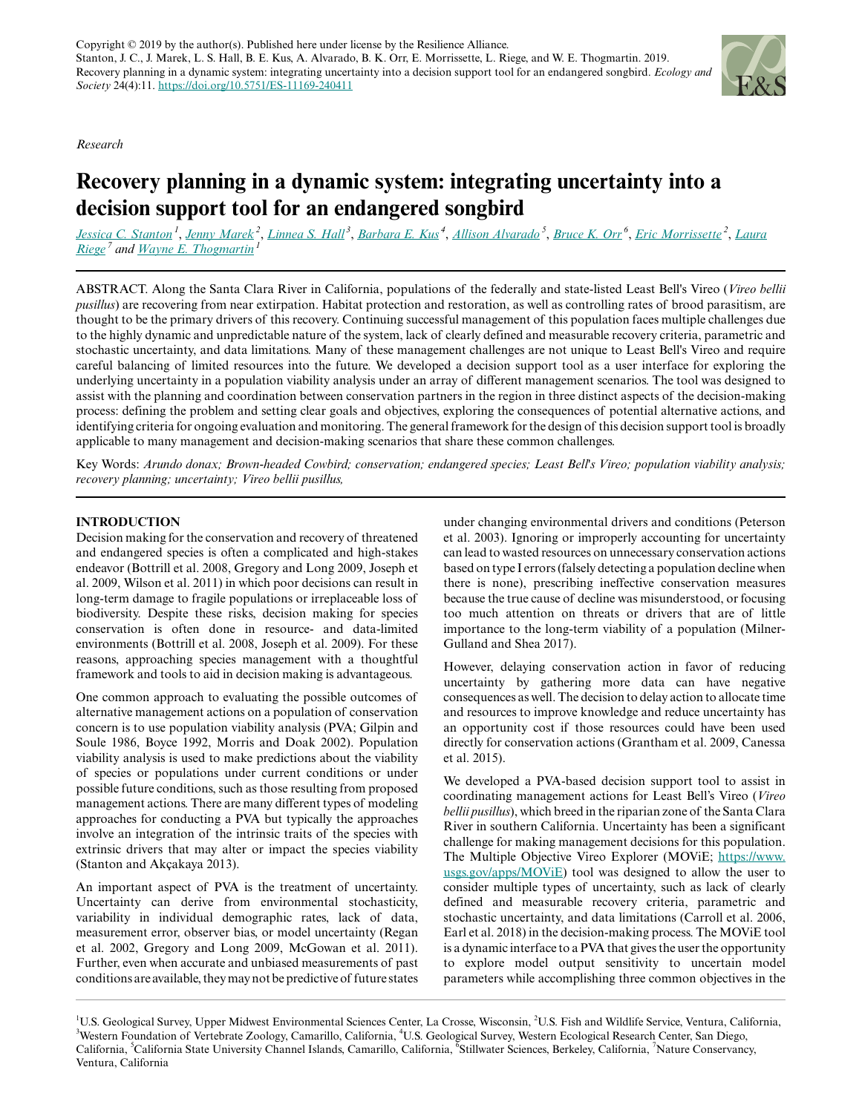*Research*

# **Recovery planning in a dynamic system: integrating uncertainty into a decision support tool for an endangered songbird**

<u>[Jessica C. Stanton](mailto:jcstanton@usgs.gov) <sup>1</sup>, [Jenny Marek](mailto:jenny_marek@fws.gov) <sup>2</sup>, [Linnea S. Hall](mailto:linnea@wfvz.org) <sup>3</sup>, [Barbara E. Kus](mailto:barbara_kus@usgs.gov) <sup>4</sup>, [Allison Alvarado](mailto:allison.alvarado@csuci.edu) <sup>5</sup>, [Bruce K. Orr](mailto:bruce@stillwatersci.com) <sup>6</sup>, [Eric Morrissette](mailto:eric_morrissette@fws.gov) <sup>2</sup>, [Laura](mailto:lriege@tnc.org)</u> *[Riege](mailto:lriege@tnc.org)<sup>7</sup> and [Wayne E. Thogmartin](mailto:wthogmartin@usgs.gov)<sup>1</sup>*

ABSTRACT. Along the Santa Clara River in California, populations of the federally and state-listed Least Bell's Vireo (*Vireo bellii pusillus*) are recovering from near extirpation. Habitat protection and restoration, as well as controlling rates of brood parasitism, are thought to be the primary drivers of this recovery. Continuing successful management of this population faces multiple challenges due to the highly dynamic and unpredictable nature of the system, lack of clearly defined and measurable recovery criteria, parametric and stochastic uncertainty, and data limitations. Many of these management challenges are not unique to Least Bell's Vireo and require careful balancing of limited resources into the future. We developed a decision support tool as a user interface for exploring the underlying uncertainty in a population viability analysis under an array of different management scenarios. The tool was designed to assist with the planning and coordination between conservation partners in the region in three distinct aspects of the decision-making process: defining the problem and setting clear goals and objectives, exploring the consequences of potential alternative actions, and identifying criteria for ongoing evaluation and monitoring. The general framework for the design of this decision support tool is broadly applicable to many management and decision-making scenarios that share these common challenges.

Key Words: *Arundo donax; Brown-headed Cowbird; conservation; endangered species; Least Bell's Vireo; population viability analysis; recovery planning; uncertainty; Vireo bellii pusillus,*

## **INTRODUCTION**

Decision making for the conservation and recovery of threatened and endangered species is often a complicated and high-stakes endeavor (Bottrill et al. 2008, Gregory and Long 2009, Joseph et al. 2009, Wilson et al. 2011) in which poor decisions can result in long-term damage to fragile populations or irreplaceable loss of biodiversity. Despite these risks, decision making for species conservation is often done in resource- and data-limited environments (Bottrill et al. 2008, Joseph et al. 2009). For these reasons, approaching species management with a thoughtful framework and tools to aid in decision making is advantageous.

One common approach to evaluating the possible outcomes of alternative management actions on a population of conservation concern is to use population viability analysis (PVA; Gilpin and Soule 1986, Boyce 1992, Morris and Doak 2002). Population viability analysis is used to make predictions about the viability of species or populations under current conditions or under possible future conditions, such as those resulting from proposed management actions. There are many different types of modeling approaches for conducting a PVA but typically the approaches involve an integration of the intrinsic traits of the species with extrinsic drivers that may alter or impact the species viability (Stanton and Akçakaya 2013).

An important aspect of PVA is the treatment of uncertainty. Uncertainty can derive from environmental stochasticity, variability in individual demographic rates, lack of data, measurement error, observer bias, or model uncertainty (Regan et al. 2002, Gregory and Long 2009, McGowan et al. 2011). Further, even when accurate and unbiased measurements of past conditions are available, they may not be predictive of future states

under changing environmental drivers and conditions (Peterson et al. 2003). Ignoring or improperly accounting for uncertainty can lead to wasted resources on unnecessary conservation actions based on type I errors (falsely detecting a population decline when there is none), prescribing ineffective conservation measures because the true cause of decline was misunderstood, or focusing too much attention on threats or drivers that are of little importance to the long-term viability of a population (Milner-Gulland and Shea 2017).

However, delaying conservation action in favor of reducing uncertainty by gathering more data can have negative consequences as well. The decision to delay action to allocate time and resources to improve knowledge and reduce uncertainty has an opportunity cost if those resources could have been used directly for conservation actions (Grantham et al. 2009, Canessa et al. 2015).

We developed a PVA-based decision support tool to assist in coordinating management actions for Least Bell's Vireo (*Vireo bellii pusillus*), which breed in the riparian zone of the Santa Clara River in southern California. Uncertainty has been a significant challenge for making management decisions for this population. The Multiple Objective Vireo Explorer (MOViE; [https://www.](https://www.usgs.gov/apps/MOViE) [usgs.gov/apps/MOViE\)](https://www.usgs.gov/apps/MOViE) tool was designed to allow the user to consider multiple types of uncertainty, such as lack of clearly defined and measurable recovery criteria, parametric and stochastic uncertainty, and data limitations (Carroll et al. 2006, Earl et al. 2018) in the decision-making process. The MOViE tool is a dynamic interface to a PVA that gives the user the opportunity to explore model output sensitivity to uncertain model parameters while accomplishing three common objectives in the



<sup>&</sup>lt;sup>1</sup>U.S. Geological Survey, Upper Midwest Environmental Sciences Center, La Crosse, Wisconsin, <sup>2</sup>U.S. Fish and Wildlife Service, Ventura, California, <sup>3</sup>Western Foundation of Vertebrate Zoology, Camarillo, California, <sup>4</sup>U.S. Geological Survey, Western Ecological Research Center, San Diego, California, <sup>5</sup>California State University Channel Islands, Camarillo, California, <sup>6</sup>Stillwater Sciences, Berkeley, California, <sup>7</sup>Nature Conservancy, Ventura, California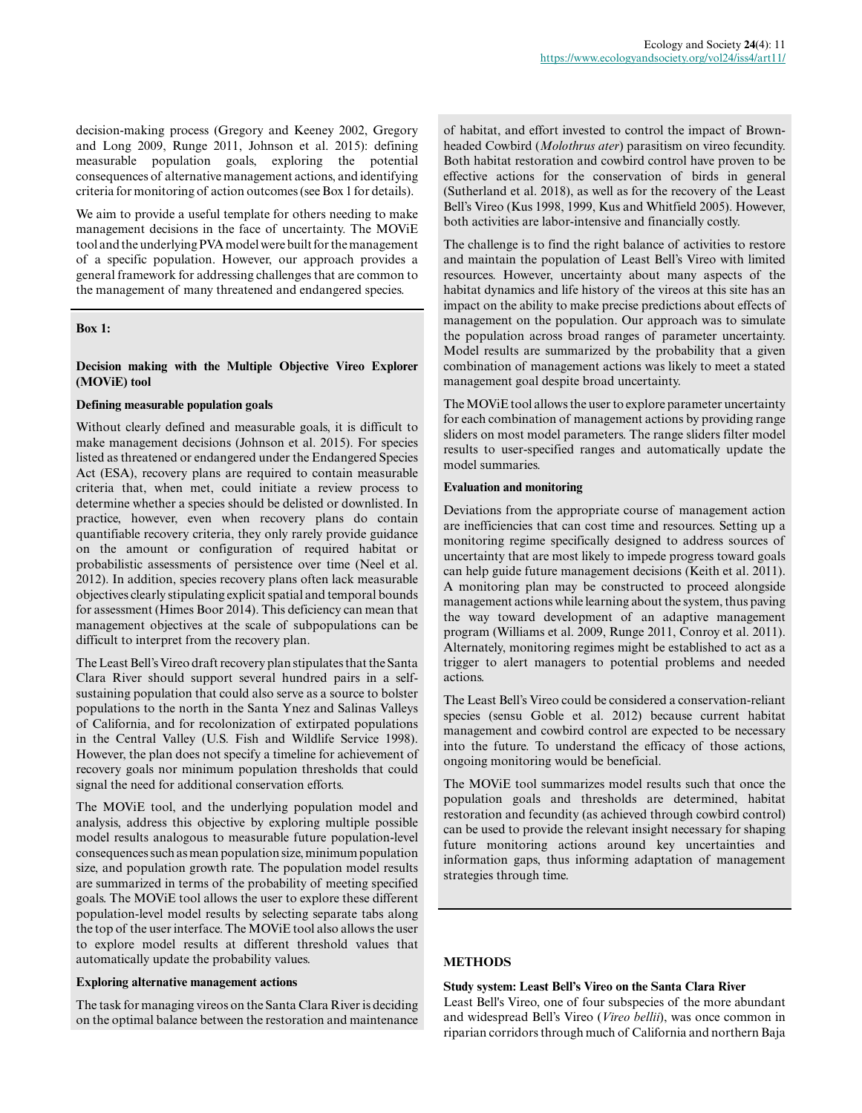consequences of alternative management actions, and identifying criteria for monitoring of action outcomes (see Box 1 for details). We aim to provide a useful template for others needing to make management decisions in the face of uncertainty. The MOViE

tool and the underlying PVA model were built for the management of a specific population. However, our approach provides a general framework for addressing challenges that are common to the management of many threatened and endangered species.

**Box 1:** 

### **Decision making with the Multiple Objective Vireo Explorer (MOViE) tool**

## **Defining measurable population goals**

Without clearly defined and measurable goals, it is difficult to make management decisions (Johnson et al. 2015). For species listed as threatened or endangered under the Endangered Species Act (ESA), recovery plans are required to contain measurable criteria that, when met, could initiate a review process to determine whether a species should be delisted or downlisted. In practice, however, even when recovery plans do contain quantifiable recovery criteria, they only rarely provide guidance on the amount or configuration of required habitat or probabilistic assessments of persistence over time (Neel et al. 2012). In addition, species recovery plans often lack measurable objectives clearly stipulating explicit spatial and temporal bounds for assessment (Himes Boor 2014). This deficiency can mean that management objectives at the scale of subpopulations can be difficult to interpret from the recovery plan.

The Least Bell's Vireo draft recovery plan stipulates that the Santa Clara River should support several hundred pairs in a selfsustaining population that could also serve as a source to bolster populations to the north in the Santa Ynez and Salinas Valleys of California, and for recolonization of extirpated populations in the Central Valley (U.S. Fish and Wildlife Service 1998). However, the plan does not specify a timeline for achievement of recovery goals nor minimum population thresholds that could signal the need for additional conservation efforts.

The MOViE tool, and the underlying population model and analysis, address this objective by exploring multiple possible model results analogous to measurable future population-level consequences such as mean population size, minimum population size, and population growth rate. The population model results are summarized in terms of the probability of meeting specified goals. The MOViE tool allows the user to explore these different population-level model results by selecting separate tabs along the top of the user interface. The MOViE tool also allows the user to explore model results at different threshold values that automatically update the probability values.

#### **Exploring alternative management actions**

The task for managing vireos on the Santa Clara River is deciding on the optimal balance between the restoration and maintenance

of habitat, and effort invested to control the impact of Brownheaded Cowbird (*Molothrus ater*) parasitism on vireo fecundity. Both habitat restoration and cowbird control have proven to be effective actions for the conservation of birds in general (Sutherland et al. 2018), as well as for the recovery of the Least Bell's Vireo (Kus 1998, 1999, Kus and Whitfield 2005). However, both activities are labor-intensive and financially costly.

The challenge is to find the right balance of activities to restore and maintain the population of Least Bell's Vireo with limited resources. However, uncertainty about many aspects of the habitat dynamics and life history of the vireos at this site has an impact on the ability to make precise predictions about effects of management on the population. Our approach was to simulate the population across broad ranges of parameter uncertainty. Model results are summarized by the probability that a given combination of management actions was likely to meet a stated management goal despite broad uncertainty.

The MOViE tool allows the user to explore parameter uncertainty for each combination of management actions by providing range sliders on most model parameters. The range sliders filter model results to user-specified ranges and automatically update the model summaries.

## **Evaluation and monitoring**

Deviations from the appropriate course of management action are inefficiencies that can cost time and resources. Setting up a monitoring regime specifically designed to address sources of uncertainty that are most likely to impede progress toward goals can help guide future management decisions (Keith et al. 2011). A monitoring plan may be constructed to proceed alongside management actions while learning about the system, thus paving the way toward development of an adaptive management program (Williams et al. 2009, Runge 2011, Conroy et al. 2011). Alternately, monitoring regimes might be established to act as a trigger to alert managers to potential problems and needed actions.

The Least Bell's Vireo could be considered a conservation-reliant species (sensu Goble et al. 2012) because current habitat management and cowbird control are expected to be necessary into the future. To understand the efficacy of those actions, ongoing monitoring would be beneficial.

The MOViE tool summarizes model results such that once the population goals and thresholds are determined, habitat restoration and fecundity (as achieved through cowbird control) can be used to provide the relevant insight necessary for shaping future monitoring actions around key uncertainties and information gaps, thus informing adaptation of management strategies through time.

## **METHODS**

#### **Study system: Least Bell's Vireo on the Santa Clara River**

Least Bell's Vireo, one of four subspecies of the more abundant and widespread Bell's Vireo (*Vireo bellii*), was once common in riparian corridors through much of California and northern Baja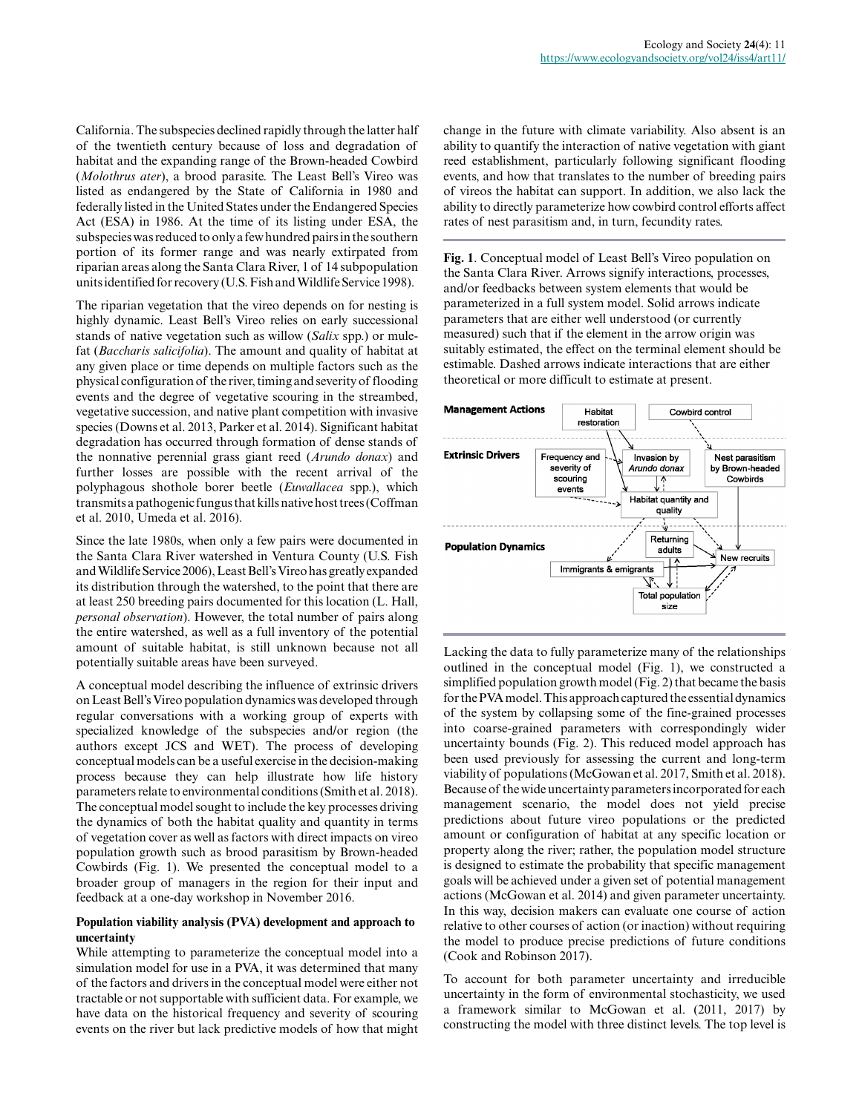California. The subspecies declined rapidly through the latter half of the twentieth century because of loss and degradation of habitat and the expanding range of the Brown-headed Cowbird (*Molothrus ater*), a brood parasite. The Least Bell's Vireo was listed as endangered by the State of California in 1980 and federally listed in the United States under the Endangered Species Act (ESA) in 1986. At the time of its listing under ESA, the subspecies was reduced to only a few hundred pairs in the southern portion of its former range and was nearly extirpated from riparian areas along the Santa Clara River, 1 of 14 subpopulation units identified for recovery (U.S. Fish and Wildlife Service 1998).

The riparian vegetation that the vireo depends on for nesting is highly dynamic. Least Bell's Vireo relies on early successional stands of native vegetation such as willow (*Salix* spp.) or mulefat (*Baccharis salicifolia*). The amount and quality of habitat at any given place or time depends on multiple factors such as the physical configuration of the river, timing and severity of flooding events and the degree of vegetative scouring in the streambed, vegetative succession, and native plant competition with invasive species (Downs et al. 2013, Parker et al. 2014). Significant habitat degradation has occurred through formation of dense stands of the nonnative perennial grass giant reed (*Arundo donax*) and further losses are possible with the recent arrival of the polyphagous shothole borer beetle (*Euwallacea* spp.), which transmits a pathogenic fungus that kills native host trees (Coffman et al. 2010, Umeda et al. 2016).

Since the late 1980s, when only a few pairs were documented in the Santa Clara River watershed in Ventura County (U.S. Fish and Wildlife Service 2006), Least Bell's Vireo has greatly expanded its distribution through the watershed, to the point that there are at least 250 breeding pairs documented for this location (L. Hall, *personal observation*). However, the total number of pairs along the entire watershed, as well as a full inventory of the potential amount of suitable habitat, is still unknown because not all potentially suitable areas have been surveyed.

A conceptual model describing the influence of extrinsic drivers on Least Bell's Vireo population dynamics was developed through regular conversations with a working group of experts with specialized knowledge of the subspecies and/or region (the authors except JCS and WET). The process of developing conceptual models can be a useful exercise in the decision-making process because they can help illustrate how life history parameters relate to environmental conditions (Smith et al. 2018). The conceptual model sought to include the key processes driving the dynamics of both the habitat quality and quantity in terms of vegetation cover as well as factors with direct impacts on vireo population growth such as brood parasitism by Brown-headed Cowbirds (Fig. 1). We presented the conceptual model to a broader group of managers in the region for their input and feedback at a one-day workshop in November 2016.

#### **Population viability analysis (PVA) development and approach to uncertainty**

While attempting to parameterize the conceptual model into a simulation model for use in a PVA, it was determined that many of the factors and drivers in the conceptual model were either not tractable or not supportable with sufficient data. For example, we have data on the historical frequency and severity of scouring events on the river but lack predictive models of how that might

change in the future with climate variability. Also absent is an ability to quantify the interaction of native vegetation with giant reed establishment, particularly following significant flooding events, and how that translates to the number of breeding pairs of vireos the habitat can support. In addition, we also lack the ability to directly parameterize how cowbird control efforts affect rates of nest parasitism and, in turn, fecundity rates.

**Fig. 1**. Conceptual model of Least Bell's Vireo population on the Santa Clara River. Arrows signify interactions, processes, and/or feedbacks between system elements that would be parameterized in a full system model. Solid arrows indicate parameters that are either well understood (or currently measured) such that if the element in the arrow origin was suitably estimated, the effect on the terminal element should be estimable. Dashed arrows indicate interactions that are either theoretical or more difficult to estimate at present.



Lacking the data to fully parameterize many of the relationships outlined in the conceptual model (Fig. 1), we constructed a simplified population growth model (Fig. 2) that became the basis for the PVA model. This approach captured the essential dynamics of the system by collapsing some of the fine-grained processes into coarse-grained parameters with correspondingly wider uncertainty bounds (Fig. 2). This reduced model approach has been used previously for assessing the current and long-term viability of populations (McGowan et al. 2017, Smith et al. 2018). Because of the wide uncertainty parameters incorporated for each management scenario, the model does not yield precise predictions about future vireo populations or the predicted amount or configuration of habitat at any specific location or property along the river; rather, the population model structure is designed to estimate the probability that specific management goals will be achieved under a given set of potential management actions (McGowan et al. 2014) and given parameter uncertainty. In this way, decision makers can evaluate one course of action relative to other courses of action (or inaction) without requiring the model to produce precise predictions of future conditions (Cook and Robinson 2017).

To account for both parameter uncertainty and irreducible uncertainty in the form of environmental stochasticity, we used a framework similar to McGowan et al. (2011, 2017) by constructing the model with three distinct levels. The top level is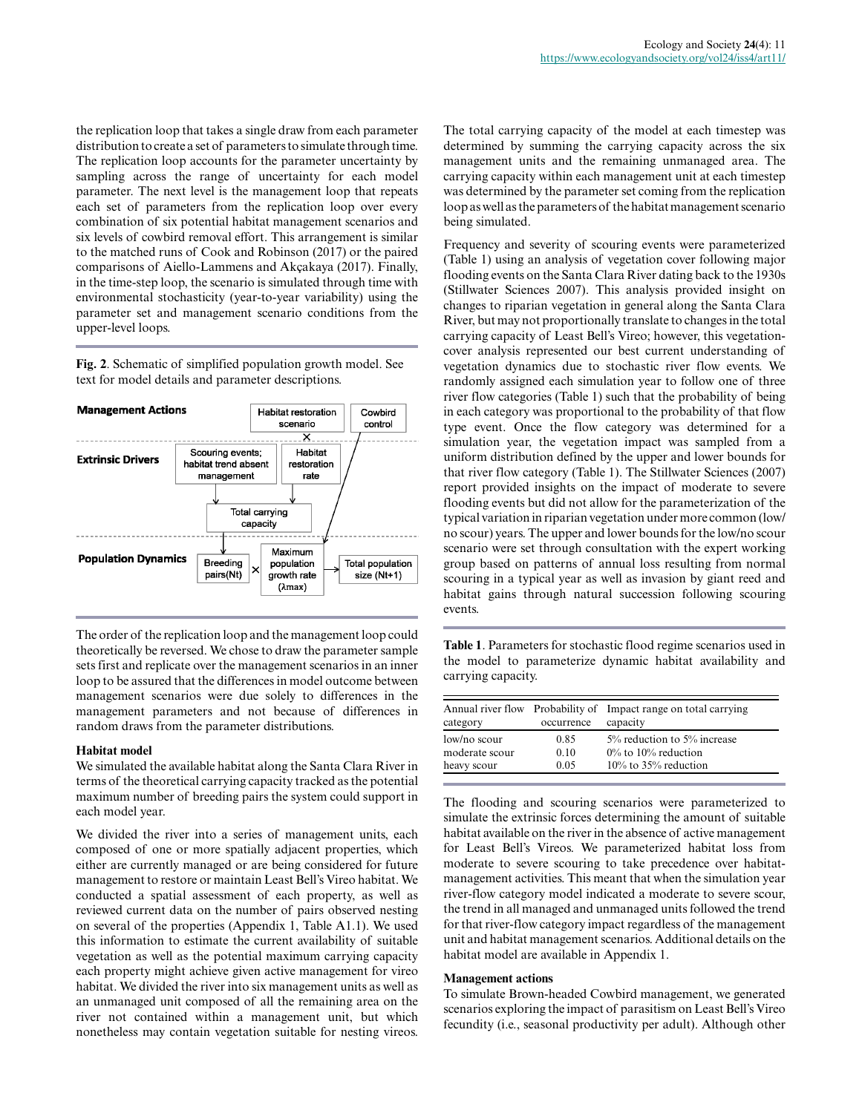the replication loop that takes a single draw from each parameter distribution to create a set of parameters to simulate through time. The replication loop accounts for the parameter uncertainty by sampling across the range of uncertainty for each model parameter. The next level is the management loop that repeats each set of parameters from the replication loop over every combination of six potential habitat management scenarios and six levels of cowbird removal effort. This arrangement is similar to the matched runs of Cook and Robinson (2017) or the paired comparisons of Aiello-Lammens and Akçakaya (2017). Finally, in the time-step loop, the scenario is simulated through time with environmental stochasticity (year-to-year variability) using the parameter set and management scenario conditions from the upper-level loops.

**Fig. 2**. Schematic of simplified population growth model. See text for model details and parameter descriptions.



The order of the replication loop and the management loop could theoretically be reversed. We chose to draw the parameter sample sets first and replicate over the management scenarios in an inner loop to be assured that the differences in model outcome between management scenarios were due solely to differences in the management parameters and not because of differences in random draws from the parameter distributions.

### **Habitat model**

We simulated the available habitat along the Santa Clara River in terms of the theoretical carrying capacity tracked as the potential maximum number of breeding pairs the system could support in each model year.

We divided the river into a series of management units, each composed of one or more spatially adjacent properties, which either are currently managed or are being considered for future management to restore or maintain Least Bell's Vireo habitat. We conducted a spatial assessment of each property, as well as reviewed current data on the number of pairs observed nesting on several of the properties (Appendix 1, Table A1.1). We used this information to estimate the current availability of suitable vegetation as well as the potential maximum carrying capacity each property might achieve given active management for vireo habitat. We divided the river into six management units as well as an unmanaged unit composed of all the remaining area on the river not contained within a management unit, but which nonetheless may contain vegetation suitable for nesting vireos.

The total carrying capacity of the model at each timestep was determined by summing the carrying capacity across the six management units and the remaining unmanaged area. The carrying capacity within each management unit at each timestep was determined by the parameter set coming from the replication loop as well as the parameters of the habitat management scenario being simulated.

Frequency and severity of scouring events were parameterized (Table 1) using an analysis of vegetation cover following major flooding events on the Santa Clara River dating back to the 1930s (Stillwater Sciences 2007). This analysis provided insight on changes to riparian vegetation in general along the Santa Clara River, but may not proportionally translate to changes in the total carrying capacity of Least Bell's Vireo; however, this vegetationcover analysis represented our best current understanding of vegetation dynamics due to stochastic river flow events. We randomly assigned each simulation year to follow one of three river flow categories (Table 1) such that the probability of being in each category was proportional to the probability of that flow type event. Once the flow category was determined for a simulation year, the vegetation impact was sampled from a uniform distribution defined by the upper and lower bounds for that river flow category (Table 1). The Stillwater Sciences (2007) report provided insights on the impact of moderate to severe flooding events but did not allow for the parameterization of the typical variation in riparian vegetation under more common (low/ no scour) years. The upper and lower bounds for the low/no scour scenario were set through consultation with the expert working group based on patterns of annual loss resulting from normal scouring in a typical year as well as invasion by giant reed and habitat gains through natural succession following scouring events.

**Table 1**. Parameters for stochastic flood regime scenarios used in the model to parameterize dynamic habitat availability and carrying capacity.

| category       | occurrence | Annual river flow Probability of Impact range on total carrying<br>capacity |
|----------------|------------|-----------------------------------------------------------------------------|
| low/no scour   | 0.85       | $5\%$ reduction to $5\%$ increase                                           |
| moderate scour | 0.10       | $0\%$ to 10% reduction                                                      |
| heavy scour    | 0.05       | $10\%$ to 35% reduction                                                     |

The flooding and scouring scenarios were parameterized to simulate the extrinsic forces determining the amount of suitable habitat available on the river in the absence of active management for Least Bell's Vireos. We parameterized habitat loss from moderate to severe scouring to take precedence over habitatmanagement activities. This meant that when the simulation year river-flow category model indicated a moderate to severe scour, the trend in all managed and unmanaged units followed the trend for that river-flow category impact regardless of the management unit and habitat management scenarios. Additional details on the habitat model are available in Appendix 1.

#### **Management actions**

To simulate Brown-headed Cowbird management, we generated scenarios exploring the impact of parasitism on Least Bell's Vireo fecundity (i.e., seasonal productivity per adult). Although other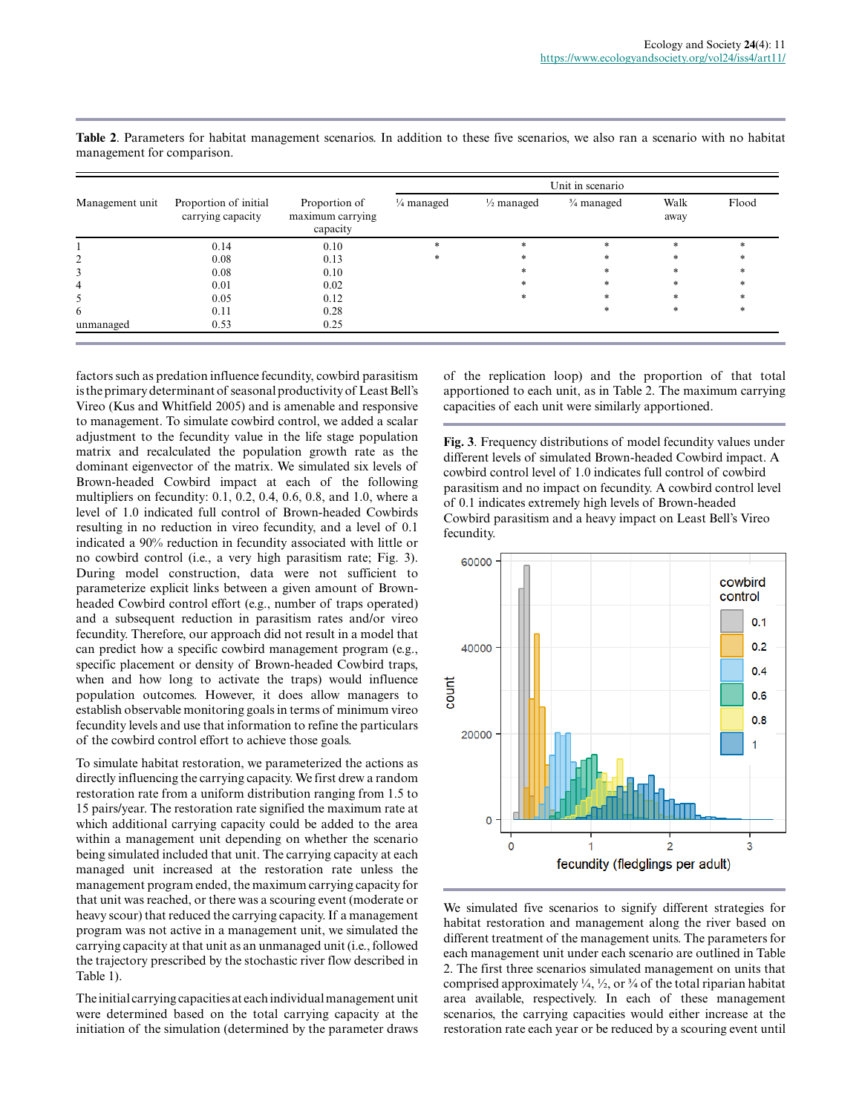| Management unit | Proportion of initial<br>carrying capacity | Proportion of<br>maximum carrying<br>capacity | Unit in scenario      |                       |                       |              |        |
|-----------------|--------------------------------------------|-----------------------------------------------|-----------------------|-----------------------|-----------------------|--------------|--------|
|                 |                                            |                                               | $\frac{1}{4}$ managed | $\frac{1}{2}$ managed | $\frac{3}{4}$ managed | Walk<br>away | Flood  |
|                 | 0.14                                       | 0.10                                          | $\ast$                | $\ast$                | *                     | $\ast$       | $\ast$ |
|                 | 0.08                                       | 0.13                                          |                       | $\ast$                |                       | $\ast$       | *      |
|                 | 0.08                                       | 0.10                                          |                       |                       |                       | $\ast$       | $\ast$ |
| 4               | 0.01                                       | 0.02                                          |                       |                       |                       | $\ast$       | *      |
|                 | 0.05                                       | 0.12                                          |                       | $\ast$                |                       | $*$          | $\ast$ |
| 6               | 0.11                                       | 0.28                                          |                       |                       |                       | $\ast$       | $\ast$ |
| unmanaged       | 0.53                                       | 0.25                                          |                       |                       |                       |              |        |

**Table 2**. Parameters for habitat management scenarios. In addition to these five scenarios, we also ran a scenario with no habitat management for comparison.

factors such as predation influence fecundity, cowbird parasitism is the primary determinant of seasonal productivity of Least Bell's Vireo (Kus and Whitfield 2005) and is amenable and responsive to management. To simulate cowbird control, we added a scalar adjustment to the fecundity value in the life stage population matrix and recalculated the population growth rate as the dominant eigenvector of the matrix. We simulated six levels of Brown-headed Cowbird impact at each of the following multipliers on fecundity: 0.1, 0.2, 0.4, 0.6, 0.8, and 1.0, where a level of 1.0 indicated full control of Brown-headed Cowbirds resulting in no reduction in vireo fecundity, and a level of 0.1 indicated a 90% reduction in fecundity associated with little or no cowbird control (i.e., a very high parasitism rate; Fig. 3). During model construction, data were not sufficient to parameterize explicit links between a given amount of Brownheaded Cowbird control effort (e.g., number of traps operated) and a subsequent reduction in parasitism rates and/or vireo fecundity. Therefore, our approach did not result in a model that can predict how a specific cowbird management program (e.g., specific placement or density of Brown-headed Cowbird traps, when and how long to activate the traps) would influence population outcomes. However, it does allow managers to establish observable monitoring goals in terms of minimum vireo fecundity levels and use that information to refine the particulars of the cowbird control effort to achieve those goals.

To simulate habitat restoration, we parameterized the actions as directly influencing the carrying capacity. We first drew a random restoration rate from a uniform distribution ranging from 1.5 to 15 pairs/year. The restoration rate signified the maximum rate at which additional carrying capacity could be added to the area within a management unit depending on whether the scenario being simulated included that unit. The carrying capacity at each managed unit increased at the restoration rate unless the management program ended, the maximum carrying capacity for that unit was reached, or there was a scouring event (moderate or heavy scour) that reduced the carrying capacity. If a management program was not active in a management unit, we simulated the carrying capacity at that unit as an unmanaged unit (i.e., followed the trajectory prescribed by the stochastic river flow described in Table 1).

The initial carrying capacities at each individual management unit were determined based on the total carrying capacity at the initiation of the simulation (determined by the parameter draws of the replication loop) and the proportion of that total apportioned to each unit, as in Table 2. The maximum carrying capacities of each unit were similarly apportioned.

Fig. 3. Frequency distributions of model fecundity values under different levels of simulated Brown-headed Cowbird impact. A cowbird control level of 1.0 indicates full control of cowbird parasitism and no impact on fecundity. A cowbird control level of 0.1 indicates extremely high levels of Brown-headed Cowbird parasitism and a heavy impact on Least Bell's Vireo fecundity.



We simulated five scenarios to signify different strategies for habitat restoration and management along the river based on different treatment of the management units. The parameters for each management unit under each scenario are outlined in Table 2. The first three scenarios simulated management on units that comprised approximately  $\frac{1}{4}$ ,  $\frac{1}{2}$ , or  $\frac{3}{4}$  of the total riparian habitat area available, respectively. In each of these management scenarios, the carrying capacities would either increase at the restoration rate each year or be reduced by a scouring event until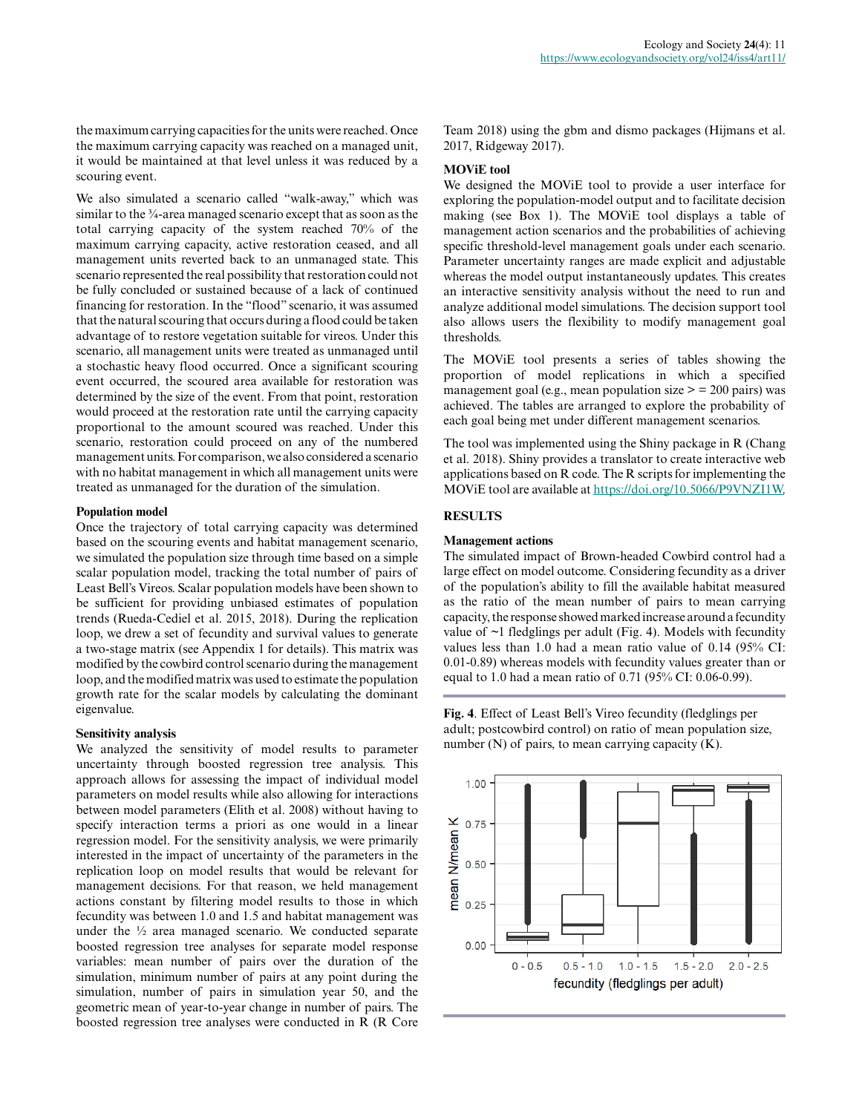the maximum carrying capacities for the units were reached. Once the maximum carrying capacity was reached on a managed unit, it would be maintained at that level unless it was reduced by a scouring event.

We also simulated a scenario called "walk-away," which was similar to the <sup>3</sup>/<sub>4</sub>-area managed scenario except that as soon as the total carrying capacity of the system reached 70% of the maximum carrying capacity, active restoration ceased, and all management units reverted back to an unmanaged state. This scenario represented the real possibility that restoration could not be fully concluded or sustained because of a lack of continued financing for restoration. In the "flood" scenario, it was assumed that the natural scouring that occurs during a flood could be taken advantage of to restore vegetation suitable for vireos. Under this scenario, all management units were treated as unmanaged until a stochastic heavy flood occurred. Once a significant scouring event occurred, the scoured area available for restoration was determined by the size of the event. From that point, restoration would proceed at the restoration rate until the carrying capacity proportional to the amount scoured was reached. Under this scenario, restoration could proceed on any of the numbered management units. For comparison, we also considered a scenario with no habitat management in which all management units were treated as unmanaged for the duration of the simulation.

#### **Population model**

Once the trajectory of total carrying capacity was determined based on the scouring events and habitat management scenario, we simulated the population size through time based on a simple scalar population model, tracking the total number of pairs of Least Bell's Vireos. Scalar population models have been shown to be sufficient for providing unbiased estimates of population trends (Rueda-Cediel et al. 2015, 2018). During the replication loop, we drew a set of fecundity and survival values to generate a two-stage matrix (see Appendix 1 for details). This matrix was modified by the cowbird control scenario during the management loop, and the modified matrix was used to estimate the population growth rate for the scalar models by calculating the dominant eigenvalue.

#### **Sensitivity analysis**

We analyzed the sensitivity of model results to parameter uncertainty through boosted regression tree analysis. This approach allows for assessing the impact of individual model parameters on model results while also allowing for interactions between model parameters (Elith et al. 2008) without having to specify interaction terms a priori as one would in a linear regression model. For the sensitivity analysis, we were primarily interested in the impact of uncertainty of the parameters in the replication loop on model results that would be relevant for management decisions. For that reason, we held management actions constant by filtering model results to those in which fecundity was between 1.0 and 1.5 and habitat management was under the ½ area managed scenario. We conducted separate boosted regression tree analyses for separate model response variables: mean number of pairs over the duration of the simulation, minimum number of pairs at any point during the simulation, number of pairs in simulation year 50, and the geometric mean of year-to-year change in number of pairs. The boosted regression tree analyses were conducted in R (R Core

Team 2018) using the gbm and dismo packages (Hijmans et al. 2017, Ridgeway 2017).

#### **MOViE tool**

We designed the MOViE tool to provide a user interface for exploring the population-model output and to facilitate decision making (see Box 1). The MOViE tool displays a table of management action scenarios and the probabilities of achieving specific threshold-level management goals under each scenario. Parameter uncertainty ranges are made explicit and adjustable whereas the model output instantaneously updates. This creates an interactive sensitivity analysis without the need to run and analyze additional model simulations. The decision support tool also allows users the flexibility to modify management goal thresholds.

The MOViE tool presents a series of tables showing the proportion of model replications in which a specified management goal (e.g., mean population size  $>$  = 200 pairs) was achieved. The tables are arranged to explore the probability of each goal being met under different management scenarios.

The tool was implemented using the Shiny package in R (Chang et al. 2018). Shiny provides a translator to create interactive web applications based on R code. The R scripts for implementing the MOViE tool are available at [https://doi.org/10.5066/P9VNZI1W.](https://doi.org/10.5066/P9VNZI1W)

## **RESULTS**

#### **Management actions**

The simulated impact of Brown-headed Cowbird control had a large effect on model outcome. Considering fecundity as a driver of the population's ability to fill the available habitat measured as the ratio of the mean number of pairs to mean carrying capacity, the response showed marked increase around a fecundity value of  $\sim$ 1 fledglings per adult (Fig. 4). Models with fecundity values less than 1.0 had a mean ratio value of 0.14 (95% CI: 0.01-0.89) whereas models with fecundity values greater than or equal to 1.0 had a mean ratio of 0.71 (95% CI: 0.06-0.99).

**Fig. 4**. Effect of Least Bell's Vireo fecundity (fledglings per adult; postcowbird control) on ratio of mean population size, number (N) of pairs, to mean carrying capacity (K).

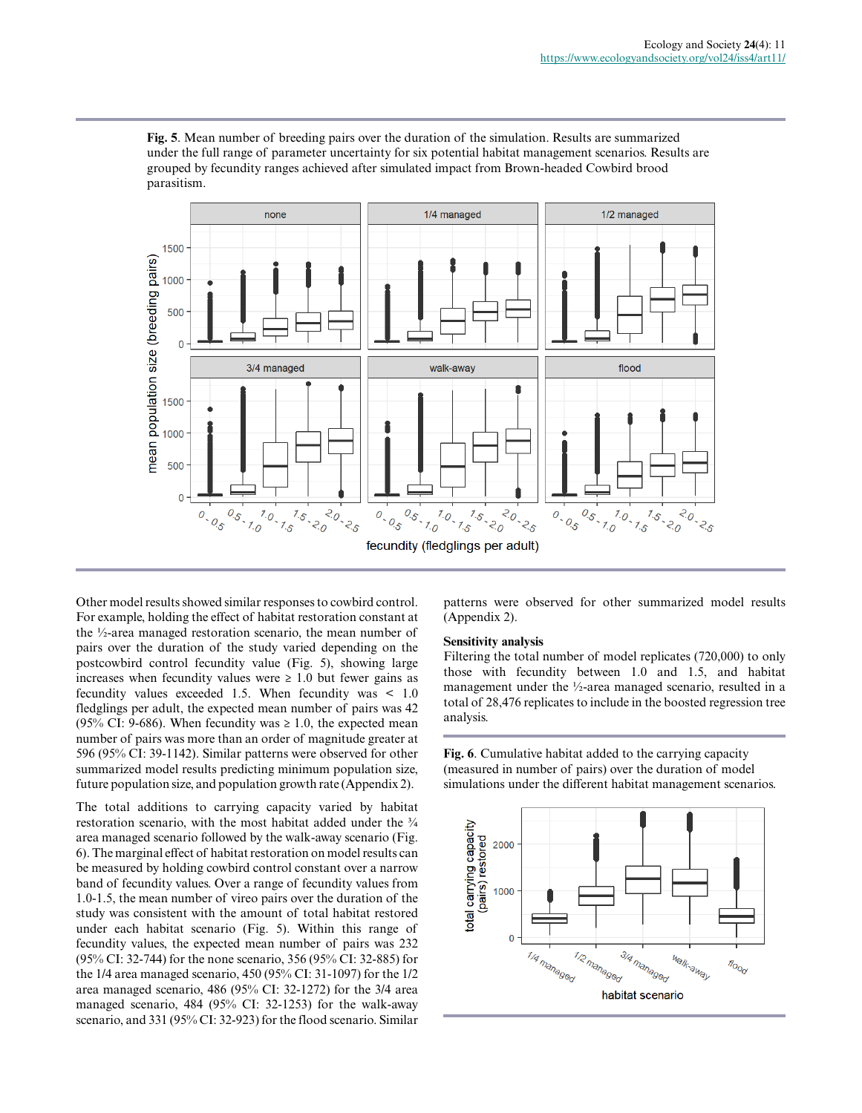

**Fig. 5**. Mean number of breeding pairs over the duration of the simulation. Results are summarized under the full range of parameter uncertainty for six potential habitat management scenarios. Results are grouped by fecundity ranges achieved after simulated impact from Brown-headed Cowbird brood parasitism.

Other model results showed similar responses to cowbird control. For example, holding the effect of habitat restoration constant at the ½-area managed restoration scenario, the mean number of pairs over the duration of the study varied depending on the postcowbird control fecundity value (Fig. 5), showing large increases when fecundity values were  $\geq 1.0$  but fewer gains as fecundity values exceeded 1.5. When fecundity was < 1.0 fledglings per adult, the expected mean number of pairs was 42 (95% CI: 9-686). When fecundity was  $\geq$  1.0, the expected mean number of pairs was more than an order of magnitude greater at 596 (95% CI: 39-1142). Similar patterns were observed for other summarized model results predicting minimum population size, future population size, and population growth rate (Appendix 2).

The total additions to carrying capacity varied by habitat restoration scenario, with the most habitat added under the  $\frac{3}{4}$ area managed scenario followed by the walk-away scenario (Fig. 6). The marginal effect of habitat restoration on model results can be measured by holding cowbird control constant over a narrow band of fecundity values. Over a range of fecundity values from 1.0-1.5, the mean number of vireo pairs over the duration of the study was consistent with the amount of total habitat restored under each habitat scenario (Fig. 5). Within this range of fecundity values, the expected mean number of pairs was 232 (95% CI: 32-744) for the none scenario, 356 (95% CI: 32-885) for the 1/4 area managed scenario, 450 (95% CI: 31-1097) for the 1/2 area managed scenario, 486 (95% CI: 32-1272) for the 3/4 area managed scenario, 484 (95% CI: 32-1253) for the walk-away scenario, and 331 (95% CI: 32-923) for the flood scenario. Similar patterns were observed for other summarized model results (Appendix 2).

#### **Sensitivity analysis**

Filtering the total number of model replicates (720,000) to only those with fecundity between 1.0 and 1.5, and habitat management under the ½-area managed scenario, resulted in a total of 28,476 replicates to include in the boosted regression tree analysis.

**Fig. 6**. Cumulative habitat added to the carrying capacity (measured in number of pairs) over the duration of model simulations under the different habitat management scenarios.

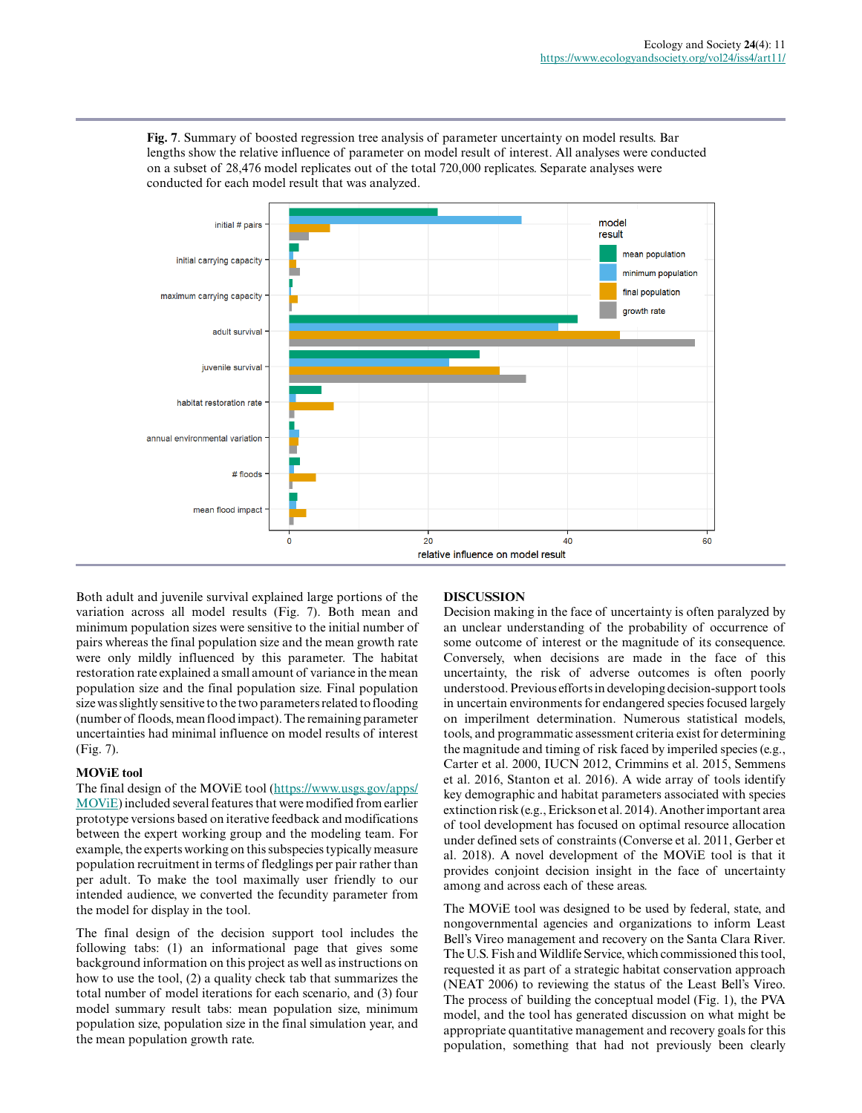

**Fig. 7**. Summary of boosted regression tree analysis of parameter uncertainty on model results. Bar lengths show the relative influence of parameter on model result of interest. All analyses were conducted on a subset of 28,476 model replicates out of the total 720,000 replicates. Separate analyses were conducted for each model result that was analyzed.

Both adult and juvenile survival explained large portions of the variation across all model results (Fig. 7). Both mean and minimum population sizes were sensitive to the initial number of pairs whereas the final population size and the mean growth rate were only mildly influenced by this parameter. The habitat restoration rate explained a small amount of variance in the mean population size and the final population size. Final population size was slightly sensitive to the two parameters related to flooding (number of floods, mean flood impact). The remaining parameter uncertainties had minimal influence on model results of interest (Fig. 7).

## **MOViE tool**

The final design of the MOViE tool [\(https://www.usgs.gov/apps/](https://www.usgs.gov/apps/MOViE) [MOViE](https://www.usgs.gov/apps/MOViE)) included several features that were modified from earlier prototype versions based on iterative feedback and modifications between the expert working group and the modeling team. For example, the experts working on this subspecies typically measure population recruitment in terms of fledglings per pair rather than per adult. To make the tool maximally user friendly to our intended audience, we converted the fecundity parameter from the model for display in the tool.

The final design of the decision support tool includes the following tabs: (1) an informational page that gives some background information on this project as well as instructions on how to use the tool, (2) a quality check tab that summarizes the total number of model iterations for each scenario, and (3) four model summary result tabs: mean population size, minimum population size, population size in the final simulation year, and the mean population growth rate.

## **DISCUSSION**

Decision making in the face of uncertainty is often paralyzed by an unclear understanding of the probability of occurrence of some outcome of interest or the magnitude of its consequence. Conversely, when decisions are made in the face of this uncertainty, the risk of adverse outcomes is often poorly understood. Previous efforts in developing decision-support tools in uncertain environments for endangered species focused largely on imperilment determination. Numerous statistical models, tools, and programmatic assessment criteria exist for determining the magnitude and timing of risk faced by imperiled species (e.g., Carter et al. 2000, IUCN 2012, Crimmins et al. 2015, Semmens et al. 2016, Stanton et al. 2016). A wide array of tools identify key demographic and habitat parameters associated with species extinction risk (e.g., Erickson et al. 2014). Another important area of tool development has focused on optimal resource allocation under defined sets of constraints (Converse et al. 2011, Gerber et al. 2018). A novel development of the MOViE tool is that it provides conjoint decision insight in the face of uncertainty among and across each of these areas.

The MOViE tool was designed to be used by federal, state, and nongovernmental agencies and organizations to inform Least Bell's Vireo management and recovery on the Santa Clara River. The U.S. Fish and Wildlife Service, which commissioned this tool, requested it as part of a strategic habitat conservation approach (NEAT 2006) to reviewing the status of the Least Bell's Vireo. The process of building the conceptual model (Fig. 1), the PVA model, and the tool has generated discussion on what might be appropriate quantitative management and recovery goals for this population, something that had not previously been clearly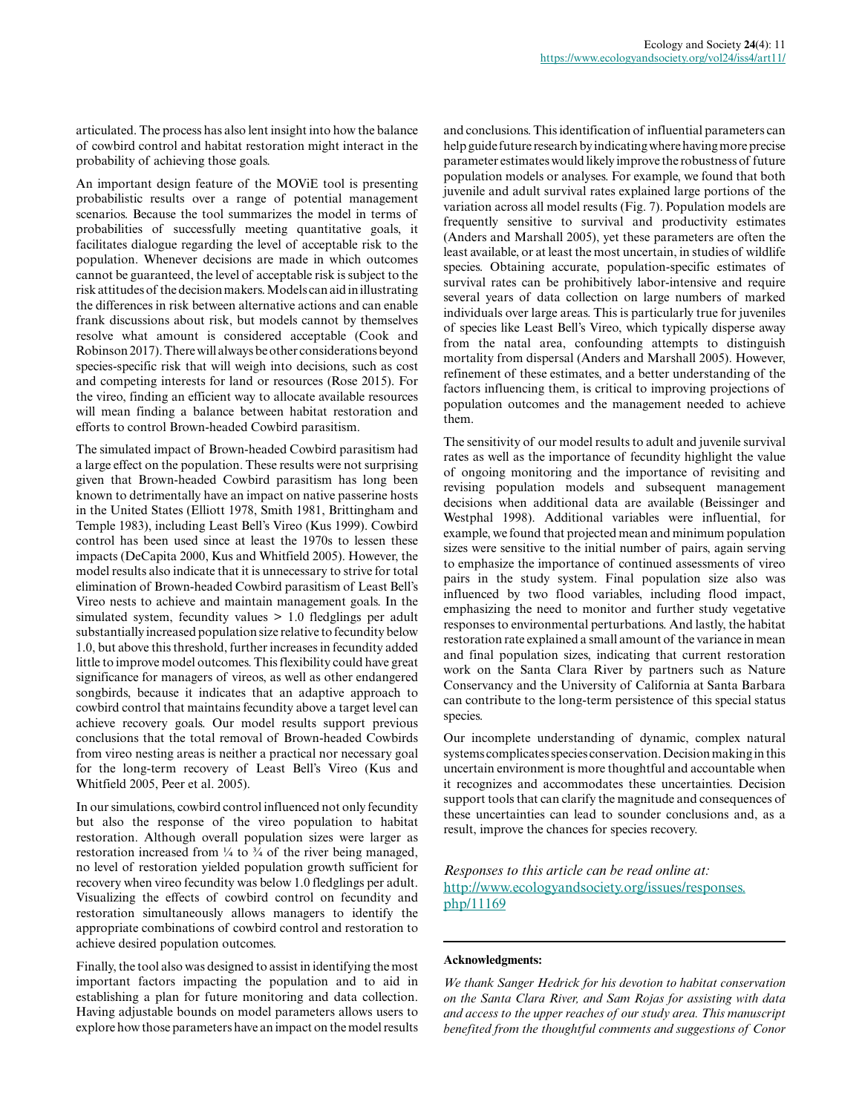articulated. The process has also lent insight into how the balance of cowbird control and habitat restoration might interact in the probability of achieving those goals.

An important design feature of the MOViE tool is presenting probabilistic results over a range of potential management scenarios. Because the tool summarizes the model in terms of probabilities of successfully meeting quantitative goals, it facilitates dialogue regarding the level of acceptable risk to the population. Whenever decisions are made in which outcomes cannot be guaranteed, the level of acceptable risk is subject to the risk attitudes of the decision makers. Models can aid in illustrating the differences in risk between alternative actions and can enable frank discussions about risk, but models cannot by themselves resolve what amount is considered acceptable (Cook and Robinson 2017). There will always be other considerations beyond species-specific risk that will weigh into decisions, such as cost and competing interests for land or resources (Rose 2015). For the vireo, finding an efficient way to allocate available resources will mean finding a balance between habitat restoration and efforts to control Brown-headed Cowbird parasitism.

The simulated impact of Brown-headed Cowbird parasitism had a large effect on the population. These results were not surprising given that Brown-headed Cowbird parasitism has long been known to detrimentally have an impact on native passerine hosts in the United States (Elliott 1978, Smith 1981, Brittingham and Temple 1983), including Least Bell's Vireo (Kus 1999). Cowbird control has been used since at least the 1970s to lessen these impacts (DeCapita 2000, Kus and Whitfield 2005). However, the model results also indicate that it is unnecessary to strive for total elimination of Brown-headed Cowbird parasitism of Least Bell's Vireo nests to achieve and maintain management goals. In the simulated system, fecundity values  $> 1.0$  fledglings per adult substantially increased population size relative to fecundity below 1.0, but above this threshold, further increases in fecundity added little to improve model outcomes. This flexibility could have great significance for managers of vireos, as well as other endangered songbirds, because it indicates that an adaptive approach to cowbird control that maintains fecundity above a target level can achieve recovery goals. Our model results support previous conclusions that the total removal of Brown-headed Cowbirds from vireo nesting areas is neither a practical nor necessary goal for the long-term recovery of Least Bell's Vireo (Kus and Whitfield 2005, Peer et al. 2005).

In our simulations, cowbird control influenced not only fecundity but also the response of the vireo population to habitat restoration. Although overall population sizes were larger as restoration increased from  $\frac{1}{4}$  to  $\frac{3}{4}$  of the river being managed, no level of restoration yielded population growth sufficient for recovery when vireo fecundity was below 1.0 fledglings per adult. Visualizing the effects of cowbird control on fecundity and restoration simultaneously allows managers to identify the appropriate combinations of cowbird control and restoration to achieve desired population outcomes.

Finally, the tool also was designed to assist in identifying the most important factors impacting the population and to aid in establishing a plan for future monitoring and data collection. Having adjustable bounds on model parameters allows users to explore how those parameters have an impact on the model results

and conclusions. This identification of influential parameters can help guide future research by indicating where having more precise parameter estimates would likely improve the robustness of future population models or analyses. For example, we found that both juvenile and adult survival rates explained large portions of the variation across all model results (Fig. 7). Population models are frequently sensitive to survival and productivity estimates (Anders and Marshall 2005), yet these parameters are often the least available, or at least the most uncertain, in studies of wildlife species. Obtaining accurate, population-specific estimates of survival rates can be prohibitively labor-intensive and require several years of data collection on large numbers of marked individuals over large areas. This is particularly true for juveniles of species like Least Bell's Vireo, which typically disperse away from the natal area, confounding attempts to distinguish mortality from dispersal (Anders and Marshall 2005). However, refinement of these estimates, and a better understanding of the factors influencing them, is critical to improving projections of population outcomes and the management needed to achieve them.

The sensitivity of our model results to adult and juvenile survival rates as well as the importance of fecundity highlight the value of ongoing monitoring and the importance of revisiting and revising population models and subsequent management decisions when additional data are available (Beissinger and Westphal 1998). Additional variables were influential, for example, we found that projected mean and minimum population sizes were sensitive to the initial number of pairs, again serving to emphasize the importance of continued assessments of vireo pairs in the study system. Final population size also was influenced by two flood variables, including flood impact, emphasizing the need to monitor and further study vegetative responses to environmental perturbations. And lastly, the habitat restoration rate explained a small amount of the variance in mean and final population sizes, indicating that current restoration work on the Santa Clara River by partners such as Nature Conservancy and the University of California at Santa Barbara can contribute to the long-term persistence of this special status species.

Our incomplete understanding of dynamic, complex natural systems complicates species conservation. Decision making in this uncertain environment is more thoughtful and accountable when it recognizes and accommodates these uncertainties. Decision support tools that can clarify the magnitude and consequences of these uncertainties can lead to sounder conclusions and, as a result, improve the chances for species recovery.

*Responses to this article can be read online at:* [http://www.ecologyandsociety.org/issues/responses.](http://www.ecologyandsociety.org/issues/responses.php/11169) [php/11169](http://www.ecologyandsociety.org/issues/responses.php/11169)

#### **Acknowledgments:**

*We thank Sanger Hedrick for his devotion to habitat conservation on the Santa Clara River, and Sam Rojas for assisting with data and access to the upper reaches of our study area. This manuscript benefited from the thoughtful comments and suggestions of Conor*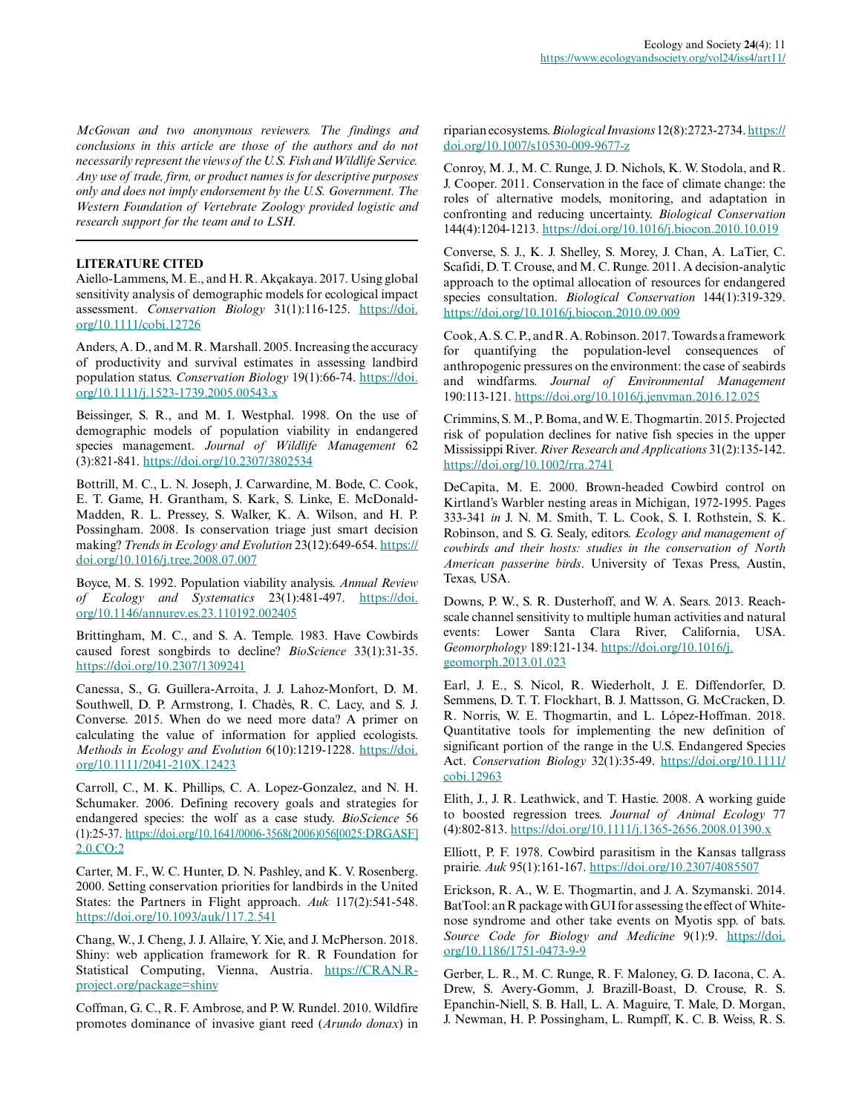*McGowan and two anonymous reviewers. The findings and conclusions in this article are those of the authors and do not necessarily represent the views of the U.S. Fish and Wildlife Service. Any use of trade, firm, or product names is for descriptive purposes only and does not imply endorsement by the U.S. Government. The Western Foundation of Vertebrate Zoology provided logistic and research support for the team and to LSH.*

## **LITERATURE CITED**

Aiello-Lammens, M. E., and H. R. Akçakaya. 2017. Using global sensitivity analysis of demographic models for ecological impact assessment. *Conservation Biology* 31(1):116-125. [https://doi.](https://doi.org/10.1111/cobi.12726) [org/10.1111/cobi.12726](https://doi.org/10.1111/cobi.12726)

Anders, A. D., and M. R. Marshall. 2005. Increasing the accuracy of productivity and survival estimates in assessing landbird population status. *Conservation Biology* 19(1):66-74. [https://doi.](https://doi.org/10.1111/j.1523-1739.2005.00543.x) [org/10.1111/j.1523-1739.2005.00543.x](https://doi.org/10.1111/j.1523-1739.2005.00543.x)

Beissinger, S. R., and M. I. Westphal. 1998. On the use of demographic models of population viability in endangered species management. *Journal of Wildlife Management* 62 (3):821-841. <https://doi.org/10.2307/3802534>

Bottrill, M. C., L. N. Joseph, J. Carwardine, M. Bode, C. Cook, E. T. Game, H. Grantham, S. Kark, S. Linke, E. McDonald-Madden, R. L. Pressey, S. Walker, K. A. Wilson, and H. P. Possingham. 2008. Is conservation triage just smart decision making? *Trends in Ecology and Evolution* 23(12):649-654. [https://](https://doi.org/10.1016/j.tree.2008.07.007) [doi.org/10.1016/j.tree.2008.07.007](https://doi.org/10.1016/j.tree.2008.07.007)

Boyce, M. S. 1992. Population viability analysis. *Annual Review of Ecology and Systematics* 23(1):481-497. [https://doi.](https://doi.org/10.1146/annurev.es.23.110192.002405) [org/10.1146/annurev.es.23.110192.002405](https://doi.org/10.1146/annurev.es.23.110192.002405) 

Brittingham, M. C., and S. A. Temple. 1983. Have Cowbirds caused forest songbirds to decline? *BioScience* 33(1):31-35. <https://doi.org/10.2307/1309241>

Canessa, S., G. Guillera-Arroita, J. J. Lahoz-Monfort, D. M. Southwell, D. P. Armstrong, I. Chadès, R. C. Lacy, and S. J. Converse. 2015. When do we need more data? A primer on calculating the value of information for applied ecologists. *Methods in Ecology and Evolution* 6(10):1219-1228. [https://doi.](https://doi.org/10.1111/2041-210X.12423) [org/10.1111/2041-210X.12423](https://doi.org/10.1111/2041-210X.12423) 

Carroll, C., M. K. Phillips, C. A. Lopez-Gonzalez, and N. H. Schumaker. 2006. Defining recovery goals and strategies for endangered species: the wolf as a case study. *BioScience* 56 (1):25-37. [https://doi.org/10.1641/0006-3568\(2006\)056\[0025:DRGASF\]](https://doi.org/10.1641/0006-3568(2006)056[0025:DRGASF]2.0.CO;2) [2.0.CO;2](https://doi.org/10.1641/0006-3568(2006)056[0025:DRGASF]2.0.CO;2)

Carter, M. F., W. C. Hunter, D. N. Pashley, and K. V. Rosenberg. 2000. Setting conservation priorities for landbirds in the United States: the Partners in Flight approach. *Auk* 117(2):541-548. <https://doi.org/10.1093/auk/117.2.541>

Chang, W., J. Cheng, J. J. Allaire, Y. Xie, and J. McPherson. 2018. Shiny: web application framework for R. R Foundation for Statistical Computing, Vienna, Austria. [https://CRAN.R](https://CRAN.R-project.org/package=shiny)[project.org/package=shiny](https://CRAN.R-project.org/package=shiny)

Coffman, G. C., R. F. Ambrose, and P. W. Rundel. 2010. Wildfire promotes dominance of invasive giant reed (*Arundo donax*) in riparian ecosystems. *Biological Invasions* 12(8):2723-2734. [https://](https://doi.org/10.1007/s10530-009-9677-z) [doi.org/10.1007/s10530-009-9677-z](https://doi.org/10.1007/s10530-009-9677-z)

Conroy, M. J., M. C. Runge, J. D. Nichols, K. W. Stodola, and R. J. Cooper. 2011. Conservation in the face of climate change: the roles of alternative models, monitoring, and adaptation in confronting and reducing uncertainty. *Biological Conservation* 144(4):1204-1213.<https://doi.org/10.1016/j.biocon.2010.10.019>

Converse, S. J., K. J. Shelley, S. Morey, J. Chan, A. LaTier, C. Scafidi, D. T. Crouse, and M. C. Runge. 2011. A decision-analytic approach to the optimal allocation of resources for endangered species consultation. *Biological Conservation* 144(1):319-329. <https://doi.org/10.1016/j.biocon.2010.09.009>

Cook, A. S. C. P., and R. A. Robinson. 2017. Towards a framework for quantifying the population-level consequences of anthropogenic pressures on the environment: the case of seabirds and windfarms. *Journal of Environmental Management* 190:113-121. <https://doi.org/10.1016/j.jenvman.2016.12.025>

Crimmins, S. M., P. Boma, and W. E. Thogmartin. 2015. Projected risk of population declines for native fish species in the upper Mississippi River. *River Research and Applications* 31(2):135-142. <https://doi.org/10.1002/rra.2741>

DeCapita, M. E. 2000. Brown-headed Cowbird control on Kirtland's Warbler nesting areas in Michigan, 1972-1995. Pages 333-341 *in* J. N. M. Smith, T. L. Cook, S. I. Rothstein, S. K. Robinson, and S. G. Sealy, editors. *Ecology and management of cowbirds and their hosts: studies in the conservation of North American passerine birds*. University of Texas Press, Austin, Texas, USA.

Downs, P. W., S. R. Dusterhoff, and W. A. Sears. 2013. Reachscale channel sensitivity to multiple human activities and natural events: Lower Santa Clara River, California, USA. *Geomorphology* 189:121-134. [https://doi.org/10.1016/j.](https://doi.org/10.1016/j.geomorph.2013.01.023) [geomorph.2013.01.023](https://doi.org/10.1016/j.geomorph.2013.01.023)

Earl, J. E., S. Nicol, R. Wiederholt, J. E. Diffendorfer, D. Semmens, D. T. T. Flockhart, B. J. Mattsson, G. McCracken, D. R. Norris, W. E. Thogmartin, and L. López-Hoffman. 2018. Quantitative tools for implementing the new definition of significant portion of the range in the U.S. Endangered Species Act. *Conservation Biology* 32(1):35-49. [https://doi.org/10.1111/](https://doi.org/10.1111/cobi.12963) [cobi.12963](https://doi.org/10.1111/cobi.12963)

Elith, J., J. R. Leathwick, and T. Hastie. 2008. A working guide to boosted regression trees. *Journal of Animal Ecology* 77 (4):802-813. <https://doi.org/10.1111/j.1365-2656.2008.01390.x>

Elliott, P. F. 1978. Cowbird parasitism in the Kansas tallgrass prairie. *Auk* 95(1):161-167. <https://doi.org/10.2307/4085507>

Erickson, R. A., W. E. Thogmartin, and J. A. Szymanski. 2014. BatTool: an R package with GUI for assessing the effect of Whitenose syndrome and other take events on Myotis spp. of bats. *Source Code for Biology and Medicine* 9(1):9. [https://doi.](https://doi.org/10.1186/1751-0473-9-9) [org/10.1186/1751-0473-9-9](https://doi.org/10.1186/1751-0473-9-9)

Gerber, L. R., M. C. Runge, R. F. Maloney, G. D. Iacona, C. A. Drew, S. Avery-Gomm, J. Brazill-Boast, D. Crouse, R. S. Epanchin-Niell, S. B. Hall, L. A. Maguire, T. Male, D. Morgan, J. Newman, H. P. Possingham, L. Rumpff, K. C. B. Weiss, R. S.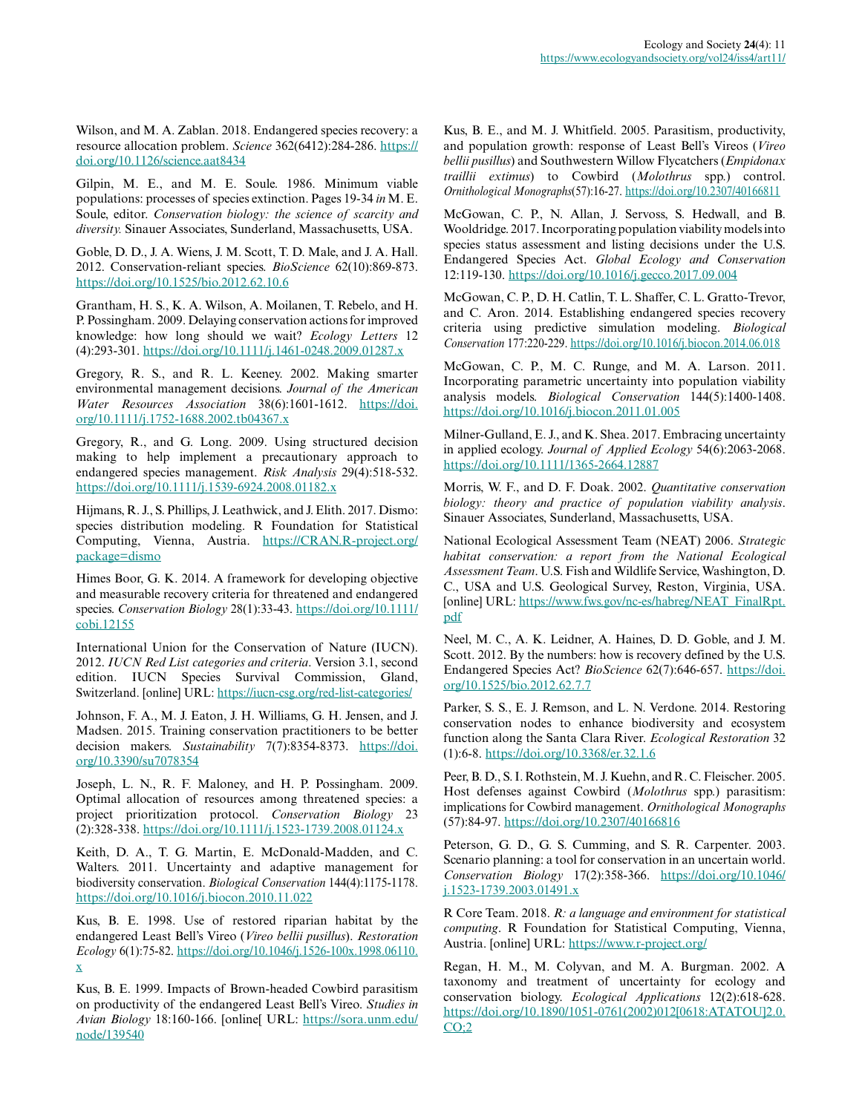Wilson, and M. A. Zablan. 2018. Endangered species recovery: a resource allocation problem. *Science* 362(6412):284-286. [https://](https://doi.org/10.1126/science.aat8434) [doi.org/10.1126/science.aat8434](https://doi.org/10.1126/science.aat8434)

Gilpin, M. E., and M. E. Soule. 1986. Minimum viable populations: processes of species extinction. Pages 19-34 *in* M. E. Soule, editor. *Conservation biology: the science of scarcity and diversity.* Sinauer Associates, Sunderland, Massachusetts, USA.

Goble, D. D., J. A. Wiens, J. M. Scott, T. D. Male, and J. A. Hall. 2012. Conservation-reliant species. *BioScience* 62(10):869-873. <https://doi.org/10.1525/bio.2012.62.10.6>

Grantham, H. S., K. A. Wilson, A. Moilanen, T. Rebelo, and H. P. Possingham. 2009. Delaying conservation actions for improved knowledge: how long should we wait? *Ecology Letters* 12 (4):293-301. <https://doi.org/10.1111/j.1461-0248.2009.01287.x>

Gregory, R. S., and R. L. Keeney. 2002. Making smarter environmental management decisions. *Journal of the American Water Resources Association* 38(6):1601-1612. [https://doi.](https://doi.org/10.1111/j.1752-1688.2002.tb04367.x) [org/10.1111/j.1752-1688.2002.tb04367.x](https://doi.org/10.1111/j.1752-1688.2002.tb04367.x)

Gregory, R., and G. Long. 2009. Using structured decision making to help implement a precautionary approach to endangered species management. *Risk Analysis* 29(4):518-532. <https://doi.org/10.1111/j.1539-6924.2008.01182.x>

Hijmans, R. J., S. Phillips, J. Leathwick, and J. Elith. 2017. Dismo: species distribution modeling. R Foundation for Statistical Computing, Vienna, Austria. [https://CRAN.R-project.org/](https://CRAN.R-project.org/package=dismo) [package=dismo](https://CRAN.R-project.org/package=dismo)

Himes Boor, G. K. 2014. A framework for developing objective and measurable recovery criteria for threatened and endangered species. *Conservation Biology* 28(1):33-43. [https://doi.org/10.1111/](https://doi.org/10.1111/cobi.12155) [cobi.12155](https://doi.org/10.1111/cobi.12155)

International Union for the Conservation of Nature (IUCN). 2012. *IUCN Red List categories and criteria*. Version 3.1, second edition. IUCN Species Survival Commission, Gland, Switzerland. [online] URL:<https://iucn-csg.org/red-list-categories/>

Johnson, F. A., M. J. Eaton, J. H. Williams, G. H. Jensen, and J. Madsen. 2015. Training conservation practitioners to be better decision makers. *Sustainability* 7(7):8354-8373. [https://doi.](https://doi.org/10.3390/su7078354) [org/10.3390/su7078354](https://doi.org/10.3390/su7078354)

Joseph, L. N., R. F. Maloney, and H. P. Possingham. 2009. Optimal allocation of resources among threatened species: a project prioritization protocol. *Conservation Biology* 23 (2):328-338. <https://doi.org/10.1111/j.1523-1739.2008.01124.x>

Keith, D. A., T. G. Martin, E. McDonald-Madden, and C. Walters. 2011. Uncertainty and adaptive management for biodiversity conservation. *Biological Conservation* 144(4):1175-1178. <https://doi.org/10.1016/j.biocon.2010.11.022>

Kus, B. E. 1998. Use of restored riparian habitat by the endangered Least Bell's Vireo (*Vireo bellii pusillus*). *Restoration Ecology* 6(1):75-82. [https://doi.org/10.1046/j.1526-100x.1998.06110.](https://doi.org/10.1046/j.1526-100x.1998.06110.x) [x](https://doi.org/10.1046/j.1526-100x.1998.06110.x)

Kus, B. E. 1999. Impacts of Brown-headed Cowbird parasitism on productivity of the endangered Least Bell's Vireo. *Studies in Avian Biology* 18:160-166. [online[ URL: [https://sora.unm.edu/](https://sora.unm.edu/node/139540) [node/139540](https://sora.unm.edu/node/139540)

Kus, B. E., and M. J. Whitfield. 2005. Parasitism, productivity, and population growth: response of Least Bell's Vireos (*Vireo bellii pusillus*) and Southwestern Willow Flycatchers (*Empidonax traillii extimus*) to Cowbird (*Molothrus* spp.) control. *Ornithological Monographs*(57):16-27.<https://doi.org/10.2307/40166811>

McGowan, C. P., N. Allan, J. Servoss, S. Hedwall, and B. Wooldridge. 2017. Incorporating population viability models into species status assessment and listing decisions under the U.S. Endangered Species Act. *Global Ecology and Conservation* 12:119-130.<https://doi.org/10.1016/j.gecco.2017.09.004>

McGowan, C. P., D. H. Catlin, T. L. Shaffer, C. L. Gratto-Trevor, and C. Aron. 2014. Establishing endangered species recovery criteria using predictive simulation modeling. *Biological Conservation* 177:220-229.<https://doi.org/10.1016/j.biocon.2014.06.018>

McGowan, C. P., M. C. Runge, and M. A. Larson. 2011. Incorporating parametric uncertainty into population viability analysis models. *Biological Conservation* 144(5):1400-1408. <https://doi.org/10.1016/j.biocon.2011.01.005>

Milner-Gulland, E. J., and K. Shea. 2017. Embracing uncertainty in applied ecology. *Journal of Applied Ecology* 54(6):2063-2068. <https://doi.org/10.1111/1365-2664.12887>

Morris, W. F., and D. F. Doak. 2002. *Quantitative conservation biology: theory and practice of population viability analysis*. Sinauer Associates, Sunderland, Massachusetts, USA.

National Ecological Assessment Team (NEAT) 2006. *Strategic habitat conservation: a report from the National Ecological Assessment Team*. U.S. Fish and Wildlife Service, Washington, D. C., USA and U.S. Geological Survey, Reston, Virginia, USA. [online] URL: [https://www.fws.gov/nc-es/habreg/NEAT\\_FinalRpt.](https://www.fws.gov/nc-es/habreg/NEAT_FinalRpt.pdf) [pdf](https://www.fws.gov/nc-es/habreg/NEAT_FinalRpt.pdf)

Neel, M. C., A. K. Leidner, A. Haines, D. D. Goble, and J. M. Scott. 2012. By the numbers: how is recovery defined by the U.S. Endangered Species Act? *BioScience* 62(7):646-657. [https://doi.](https://doi.org/10.1525/bio.2012.62.7.7) [org/10.1525/bio.2012.62.7.7](https://doi.org/10.1525/bio.2012.62.7.7) 

Parker, S. S., E. J. Remson, and L. N. Verdone. 2014. Restoring conservation nodes to enhance biodiversity and ecosystem function along the Santa Clara River. *Ecological Restoration* 32 (1):6-8. <https://doi.org/10.3368/er.32.1.6>

Peer, B. D., S. I. Rothstein, M. J. Kuehn, and R. C. Fleischer. 2005. Host defenses against Cowbird (*Molothrus* spp.) parasitism: implications for Cowbird management. *Ornithological Monographs* (57):84-97.<https://doi.org/10.2307/40166816>

Peterson, G. D., G. S. Cumming, and S. R. Carpenter. 2003. Scenario planning: a tool for conservation in an uncertain world. *Conservation Biology* 17(2):358-366. [https://doi.org/10.1046/](https://doi.org/10.1046/j.1523-1739.2003.01491.x) [j.1523-1739.2003.01491.x](https://doi.org/10.1046/j.1523-1739.2003.01491.x)

R Core Team. 2018. *R: a language and environment for statistical computing*. R Foundation for Statistical Computing, Vienna, Austria. [online] URL: <https://www.r-project.org/>

Regan, H. M., M. Colyvan, and M. A. Burgman. 2002. A taxonomy and treatment of uncertainty for ecology and conservation biology. *Ecological Applications* 12(2):618-628. [https://doi.org/10.1890/1051-0761\(2002\)012\[0618:ATATOU\]2.0.](https://doi.org/10.1890/1051-0761(2002)012[0618:ATATOU]2.0.CO;2)  $CO:2$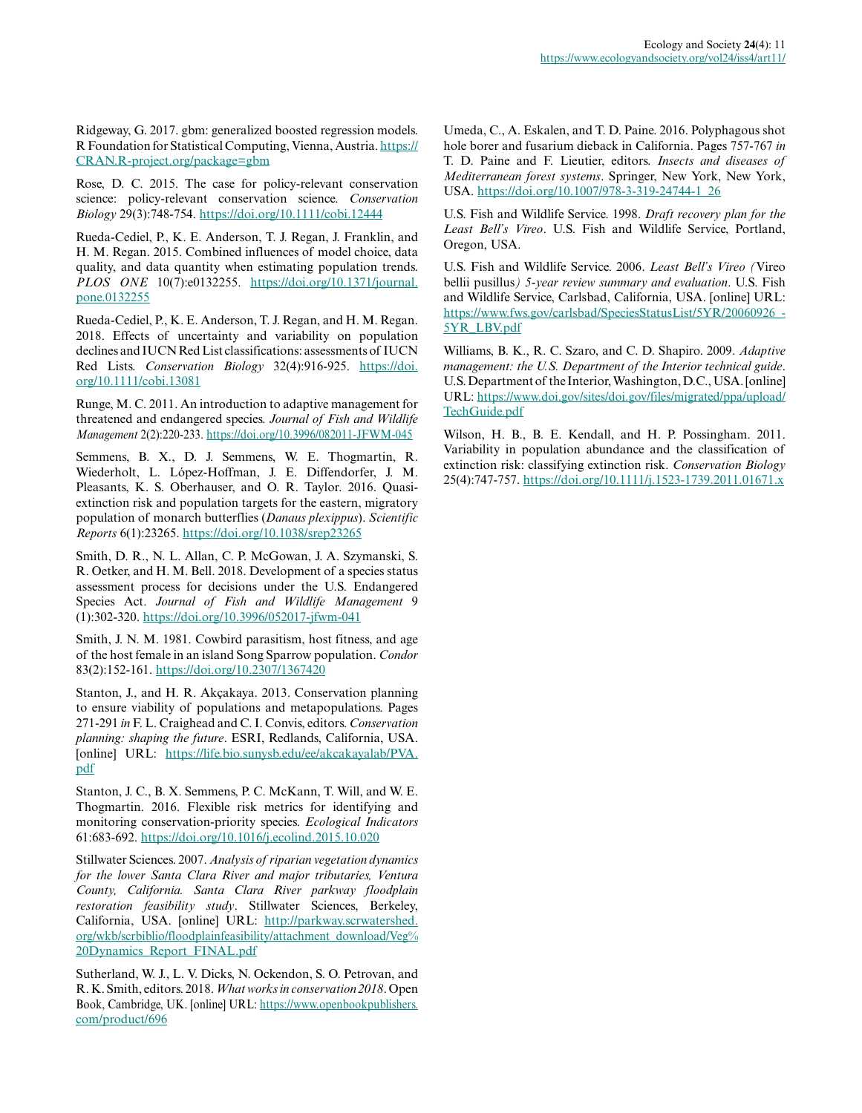Ridgeway, G. 2017. gbm: generalized boosted regression models. R Foundation for Statistical Computing, Vienna, Austria. [https://](https://CRAN.R-project.org/package=gbm) [CRAN.R-project.org/package=gbm](https://CRAN.R-project.org/package=gbm) 

Rose, D. C. 2015. The case for policy-relevant conservation science: policy-relevant conservation science. *Conservation Biology* 29(3):748-754. <https://doi.org/10.1111/cobi.12444>

Rueda-Cediel, P., K. E. Anderson, T. J. Regan, J. Franklin, and H. M. Regan. 2015. Combined influences of model choice, data quality, and data quantity when estimating population trends. *PLOS ONE* 10(7):e0132255. [https://doi.org/10.1371/journal.](https://doi.org/10.1371/journal.pone.0132255) [pone.0132255](https://doi.org/10.1371/journal.pone.0132255)

Rueda-Cediel, P., K. E. Anderson, T. J. Regan, and H. M. Regan. 2018. Effects of uncertainty and variability on population declines and IUCN Red List classifications: assessments of IUCN Red Lists. *Conservation Biology* 32(4):916-925. [https://doi.](https://doi.org/10.1111/cobi.13081) [org/10.1111/cobi.13081](https://doi.org/10.1111/cobi.13081)

Runge, M. C. 2011. An introduction to adaptive management for threatened and endangered species. *Journal of Fish and Wildlife Management* 2(2):220-233. <https://doi.org/10.3996/082011-JFWM-045>

Semmens, B. X., D. J. Semmens, W. E. Thogmartin, R. Wiederholt, L. López-Hoffman, J. E. Diffendorfer, J. M. Pleasants, K. S. Oberhauser, and O. R. Taylor. 2016. Quasiextinction risk and population targets for the eastern, migratory population of monarch butterflies (*Danaus plexippus*). *Scientific Reports* 6(1):23265. <https://doi.org/10.1038/srep23265>

Smith, D. R., N. L. Allan, C. P. McGowan, J. A. Szymanski, S. R. Oetker, and H. M. Bell. 2018. Development of a species status assessment process for decisions under the U.S. Endangered Species Act. *Journal of Fish and Wildlife Management* 9 (1):302-320. <https://doi.org/10.3996/052017-jfwm-041>

Smith, J. N. M. 1981. Cowbird parasitism, host fitness, and age of the host female in an island Song Sparrow population. *Condor* 83(2):152-161. <https://doi.org/10.2307/1367420>

Stanton, J., and H. R. Akçakaya. 2013. Conservation planning to ensure viability of populations and metapopulations. Pages 271-291 *in* F. L. Craighead and C. I. Convis, editors. *Conservation planning: shaping the future*. ESRI, Redlands, California, USA. [online] URL: [https://life.bio.sunysb.edu/ee/akcakayalab/PVA.](https://life.bio.sunysb.edu/ee/akcakayalab/PVA.pdf) [pdf](https://life.bio.sunysb.edu/ee/akcakayalab/PVA.pdf)

Stanton, J. C., B. X. Semmens, P. C. McKann, T. Will, and W. E. Thogmartin. 2016. Flexible risk metrics for identifying and monitoring conservation-priority species. *Ecological Indicators* 61:683-692.<https://doi.org/10.1016/j.ecolind.2015.10.020>

Stillwater Sciences. 2007. *Analysis of riparian vegetation dynamics for the lower Santa Clara River and major tributaries, Ventura County, California. Santa Clara River parkway floodplain restoration feasibility study*. Stillwater Sciences, Berkeley, California, USA. [online] URL: [http://parkway.scrwatershed.](http://parkway.scrwatershed.org/wkb/scrbiblio/floodplainfeasibility/attachment_download/Veg%20Dynamics_Report_FINAL.pdf) [org/wkb/scrbiblio/floodplainfeasibility/attachment\\_download/Veg%](http://parkway.scrwatershed.org/wkb/scrbiblio/floodplainfeasibility/attachment_download/Veg%20Dynamics_Report_FINAL.pdf) [20Dynamics\\_Report\\_FINAL.pdf](http://parkway.scrwatershed.org/wkb/scrbiblio/floodplainfeasibility/attachment_download/Veg%20Dynamics_Report_FINAL.pdf)

Sutherland, W. J., L. V. Dicks, N. Ockendon, S. O. Petrovan, and R. K. Smith, editors. 2018. *What works in conservation 2018*. Open Book, Cambridge, UK. [online] URL: [https://www.openbookpublishers.](https://www.openbookpublishers.com/product/696) [com/product/696](https://www.openbookpublishers.com/product/696) 

Umeda, C., A. Eskalen, and T. D. Paine. 2016. Polyphagous shot hole borer and fusarium dieback in California. Pages 757-767 *in* T. D. Paine and F. Lieutier, editors. *Insects and diseases of Mediterranean forest systems*. Springer, New York, New York, USA. [https://doi.org/10.1007/978-3-319-24744-1\\_26](https://doi.org/10.1007/978-3-319-24744-1_26) 

U.S. Fish and Wildlife Service. 1998. *Draft recovery plan for the Least Bell's Vireo*. U.S. Fish and Wildlife Service, Portland, Oregon, USA.

U.S. Fish and Wildlife Service. 2006. *Least Bell's Vireo (*Vireo bellii pusillus*) 5-year review summary and evaluation*. U.S. Fish and Wildlife Service, Carlsbad, California, USA. [online] URL: [https://www.fws.gov/carlsbad/SpeciesStatusList/5YR/20060926\\_](https://www.fws.gov/carlsbad/SpeciesStatusList/5YR/20060926_5YR_LBV.pdf) [5YR\\_LBV.pdf](https://www.fws.gov/carlsbad/SpeciesStatusList/5YR/20060926_5YR_LBV.pdf)

Williams, B. K., R. C. Szaro, and C. D. Shapiro. 2009. *Adaptive management: the U.S. Department of the Interior technical guide*. U.S. Department of the Interior, Washington, D.C., USA. [online] URL: [https://www.doi.gov/sites/doi.gov/files/migrated/ppa/upload/](https://www.doi.gov/sites/doi.gov/files/migrated/ppa/upload/TechGuide.pdf) [TechGuide.pdf](https://www.doi.gov/sites/doi.gov/files/migrated/ppa/upload/TechGuide.pdf)

Wilson, H. B., B. E. Kendall, and H. P. Possingham. 2011. Variability in population abundance and the classification of extinction risk: classifying extinction risk. *Conservation Biology* 25(4):747-757. <https://doi.org/10.1111/j.1523-1739.2011.01671.x>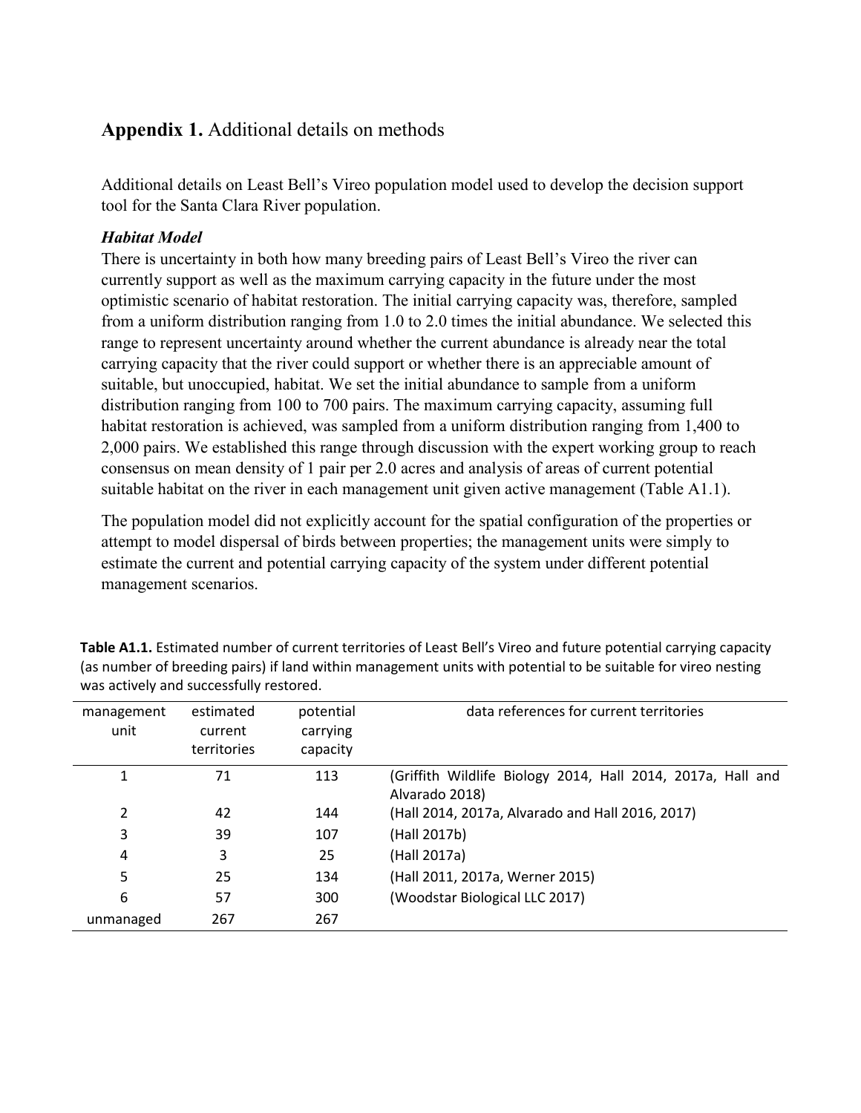## **Appendix 1.** Additional details on methods

Additional details on Least Bell's Vireo population model used to develop the decision support tool for the Santa Clara River population.

## *Habitat Model*

There is uncertainty in both how many breeding pairs of Least Bell's Vireo the river can currently support as well as the maximum carrying capacity in the future under the most optimistic scenario of habitat restoration. The initial carrying capacity was, therefore, sampled from a uniform distribution ranging from 1.0 to 2.0 times the initial abundance. We selected this range to represent uncertainty around whether the current abundance is already near the total carrying capacity that the river could support or whether there is an appreciable amount of suitable, but unoccupied, habitat. We set the initial abundance to sample from a uniform distribution ranging from 100 to 700 pairs. The maximum carrying capacity, assuming full habitat restoration is achieved, was sampled from a uniform distribution ranging from 1,400 to 2,000 pairs. We established this range through discussion with the expert working group to reach consensus on mean density of 1 pair per 2.0 acres and analysis of areas of current potential suitable habitat on the river in each management unit given active management (Table A1.1).

The population model did not explicitly account for the spatial configuration of the properties or attempt to model dispersal of birds between properties; the management units were simply to estimate the current and potential carrying capacity of the system under different potential management scenarios.

| management<br>unit | estimated<br>current<br>territories | potential<br>carrying<br>capacity | data references for current territories                                       |
|--------------------|-------------------------------------|-----------------------------------|-------------------------------------------------------------------------------|
|                    | 71                                  | 113                               | (Griffith Wildlife Biology 2014, Hall 2014, 2017a, Hall and<br>Alvarado 2018) |
| $\mathfrak{p}$     | 42                                  | 144                               | (Hall 2014, 2017a, Alvarado and Hall 2016, 2017)                              |
| 3                  | 39                                  | 107                               | (Hall 2017b)                                                                  |
| 4                  | 3                                   | 25                                | (Hall 2017a)                                                                  |
| 5                  | 25                                  | 134                               | (Hall 2011, 2017a, Werner 2015)                                               |
| 6                  | 57                                  | 300                               | (Woodstar Biological LLC 2017)                                                |
| unmanaged          | 267                                 | 267                               |                                                                               |

**Table A1.1.** Estimated number of current territories of Least Bell's Vireo and future potential carrying capacity (as number of breeding pairs) if land within management units with potential to be suitable for vireo nesting was actively and successfully restored.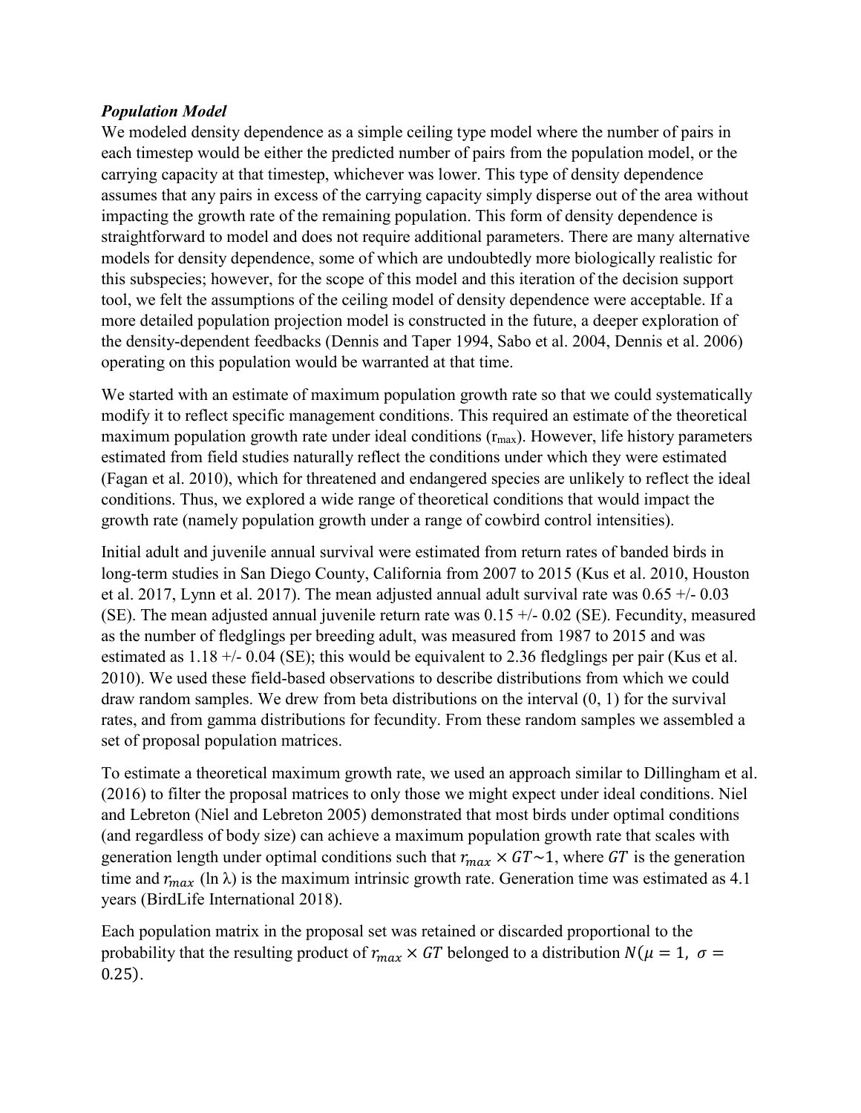## *Population Model*

We modeled density dependence as a simple ceiling type model where the number of pairs in each timestep would be either the predicted number of pairs from the population model, or the carrying capacity at that timestep, whichever was lower. This type of density dependence assumes that any pairs in excess of the carrying capacity simply disperse out of the area without impacting the growth rate of the remaining population. This form of density dependence is straightforward to model and does not require additional parameters. There are many alternative models for density dependence, some of which are undoubtedly more biologically realistic for this subspecies; however, for the scope of this model and this iteration of the decision support tool, we felt the assumptions of the ceiling model of density dependence were acceptable. If a more detailed population projection model is constructed in the future, a deeper exploration of the density-dependent feedbacks (Dennis and Taper 1994, Sabo et al. 2004, Dennis et al. 2006) operating on this population would be warranted at that time.

We started with an estimate of maximum population growth rate so that we could systematically modify it to reflect specific management conditions. This required an estimate of the theoretical maximum population growth rate under ideal conditions  $(r_{\text{max}})$ . However, life history parameters estimated from field studies naturally reflect the conditions under which they were estimated (Fagan et al. 2010), which for threatened and endangered species are unlikely to reflect the ideal conditions. Thus, we explored a wide range of theoretical conditions that would impact the growth rate (namely population growth under a range of cowbird control intensities).

Initial adult and juvenile annual survival were estimated from return rates of banded birds in long-term studies in San Diego County, California from 2007 to 2015 (Kus et al. 2010, Houston et al. 2017, Lynn et al. 2017). The mean adjusted annual adult survival rate was  $0.65 + 0.03$ (SE). The mean adjusted annual juvenile return rate was  $0.15 + -0.02$  (SE). Fecundity, measured as the number of fledglings per breeding adult, was measured from 1987 to 2015 and was estimated as  $1.18 + (-0.04$  (SE); this would be equivalent to 2.36 fledglings per pair (Kus et al. 2010). We used these field-based observations to describe distributions from which we could draw random samples. We drew from beta distributions on the interval (0, 1) for the survival rates, and from gamma distributions for fecundity. From these random samples we assembled a set of proposal population matrices.

To estimate a theoretical maximum growth rate, we used an approach similar to Dillingham et al. (2016) to filter the proposal matrices to only those we might expect under ideal conditions. Niel and Lebreton (Niel and Lebreton 2005) demonstrated that most birds under optimal conditions (and regardless of body size) can achieve a maximum population growth rate that scales with generation length under optimal conditions such that  $r_{max} \times GT \sim 1$ , where GT is the generation time and  $r_{max}$  (ln  $\lambda$ ) is the maximum intrinsic growth rate. Generation time was estimated as 4.1 years (BirdLife International 2018).

Each population matrix in the proposal set was retained or discarded proportional to the probability that the resulting product of  $r_{max} \times GT$  belonged to a distribution  $N(\mu = 1, \sigma =$ 0.25).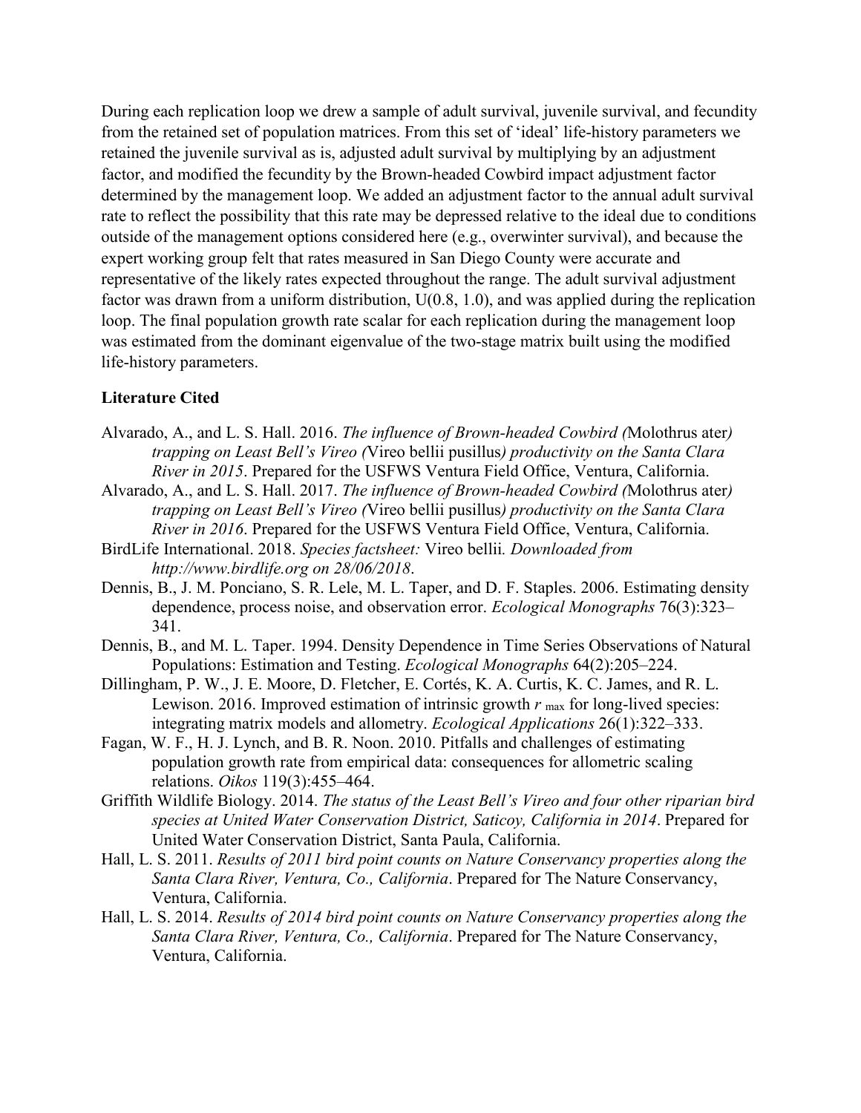During each replication loop we drew a sample of adult survival, juvenile survival, and fecundity from the retained set of population matrices. From this set of 'ideal' life-history parameters we retained the juvenile survival as is, adjusted adult survival by multiplying by an adjustment factor, and modified the fecundity by the Brown-headed Cowbird impact adjustment factor determined by the management loop. We added an adjustment factor to the annual adult survival rate to reflect the possibility that this rate may be depressed relative to the ideal due to conditions outside of the management options considered here (e.g., overwinter survival), and because the expert working group felt that rates measured in San Diego County were accurate and representative of the likely rates expected throughout the range. The adult survival adjustment factor was drawn from a uniform distribution, U(0.8, 1.0), and was applied during the replication loop. The final population growth rate scalar for each replication during the management loop was estimated from the dominant eigenvalue of the two-stage matrix built using the modified life-history parameters.

## **Literature Cited**

- Alvarado, A., and L. S. Hall. 2016. *The influence of Brown-headed Cowbird (*Molothrus ater*) trapping on Least Bell's Vireo (*Vireo bellii pusillus*) productivity on the Santa Clara River in 2015*. Prepared for the USFWS Ventura Field Office, Ventura, California.
- Alvarado, A., and L. S. Hall. 2017. *The influence of Brown-headed Cowbird (*Molothrus ater*) trapping on Least Bell's Vireo (*Vireo bellii pusillus*) productivity on the Santa Clara River in 2016*. Prepared for the USFWS Ventura Field Office, Ventura, California.
- BirdLife International. 2018. *Species factsheet:* Vireo bellii*. Downloaded from http://www.birdlife.org on 28/06/2018*.
- Dennis, B., J. M. Ponciano, S. R. Lele, M. L. Taper, and D. F. Staples. 2006. Estimating density dependence, process noise, and observation error. *Ecological Monographs* 76(3):323– 341.
- Dennis, B., and M. L. Taper. 1994. Density Dependence in Time Series Observations of Natural Populations: Estimation and Testing. *Ecological Monographs* 64(2):205–224.
- Dillingham, P. W., J. E. Moore, D. Fletcher, E. Cortés, K. A. Curtis, K. C. James, and R. L. Lewison. 2016. Improved estimation of intrinsic growth  $r_{\text{max}}$  for long-lived species: integrating matrix models and allometry. *Ecological Applications* 26(1):322–333.
- Fagan, W. F., H. J. Lynch, and B. R. Noon. 2010. Pitfalls and challenges of estimating population growth rate from empirical data: consequences for allometric scaling relations. *Oikos* 119(3):455–464.
- Griffith Wildlife Biology. 2014. *The status of the Least Bell's Vireo and four other riparian bird species at United Water Conservation District, Saticoy, California in 2014*. Prepared for United Water Conservation District, Santa Paula, California.
- Hall, L. S. 2011. *Results of 2011 bird point counts on Nature Conservancy properties along the Santa Clara River, Ventura, Co., California*. Prepared for The Nature Conservancy, Ventura, California.
- Hall, L. S. 2014. *Results of 2014 bird point counts on Nature Conservancy properties along the Santa Clara River, Ventura, Co., California*. Prepared for The Nature Conservancy, Ventura, California.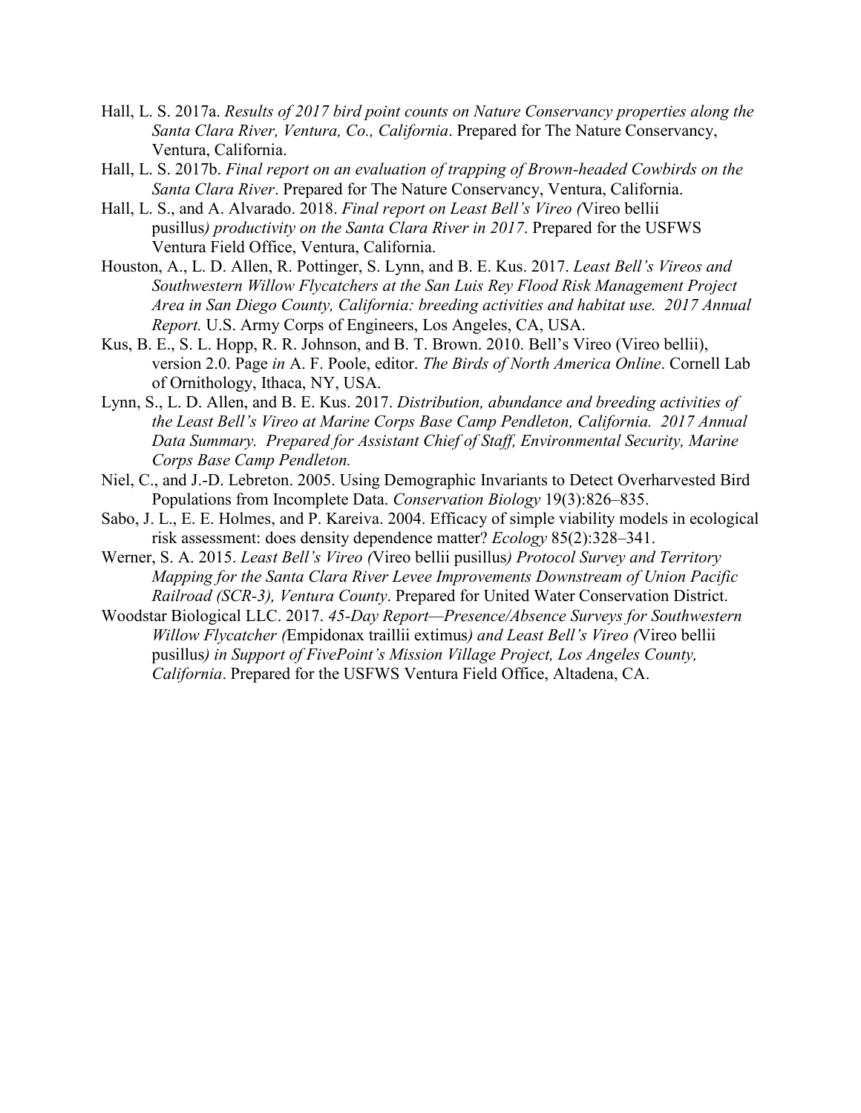- Hall, L. S. 2017a. *Results of 2017 bird point counts on Nature Conservancy properties along the Santa Clara River, Ventura, Co., California*. Prepared for The Nature Conservancy, Ventura, California.
- Hall, L. S. 2017b. *Final report on an evaluation of trapping of Brown-headed Cowbirds on the Santa Clara River*. Prepared for The Nature Conservancy, Ventura, California.
- Hall, L. S., and A. Alvarado. 2018. *Final report on Least Bell's Vireo (*Vireo bellii pusillus*) productivity on the Santa Clara River in 2017*. Prepared for the USFWS Ventura Field Office, Ventura, California.
- Houston, A., L. D. Allen, R. Pottinger, S. Lynn, and B. E. Kus. 2017. *Least Bell's Vireos and Southwestern Willow Flycatchers at the San Luis Rey Flood Risk Management Project Area in San Diego County, California: breeding activities and habitat use. 2017 Annual Report.* U.S. Army Corps of Engineers, Los Angeles, CA, USA.
- Kus, B. E., S. L. Hopp, R. R. Johnson, and B. T. Brown. 2010. Bell's Vireo (Vireo bellii), version 2.0. Page *in* A. F. Poole, editor. *The Birds of North America Online*. Cornell Lab of Ornithology, Ithaca, NY, USA.
- Lynn, S., L. D. Allen, and B. E. Kus. 2017. *Distribution, abundance and breeding activities of the Least Bell's Vireo at Marine Corps Base Camp Pendleton, California. 2017 Annual Data Summary. Prepared for Assistant Chief of Staff, Environmental Security, Marine Corps Base Camp Pendleton.*
- Niel, C., and J.-D. Lebreton. 2005. Using Demographic Invariants to Detect Overharvested Bird Populations from Incomplete Data. *Conservation Biology* 19(3):826–835.
- Sabo, J. L., E. E. Holmes, and P. Kareiva. 2004. Efficacy of simple viability models in ecological risk assessment: does density dependence matter? *Ecology* 85(2):328–341.
- Werner, S. A. 2015. *Least Bell's Vireo (*Vireo bellii pusillus*) Protocol Survey and Territory Mapping for the Santa Clara River Levee Improvements Downstream of Union Pacific Railroad (SCR-3), Ventura County*. Prepared for United Water Conservation District.

Woodstar Biological LLC. 2017. *45-Day Report—Presence/Absence Surveys for Southwestern Willow Flycatcher (*Empidonax traillii extimus*) and Least Bell's Vireo (*Vireo bellii pusillus*) in Support of FivePoint's Mission Village Project, Los Angeles County, California*. Prepared for the USFWS Ventura Field Office, Altadena, CA.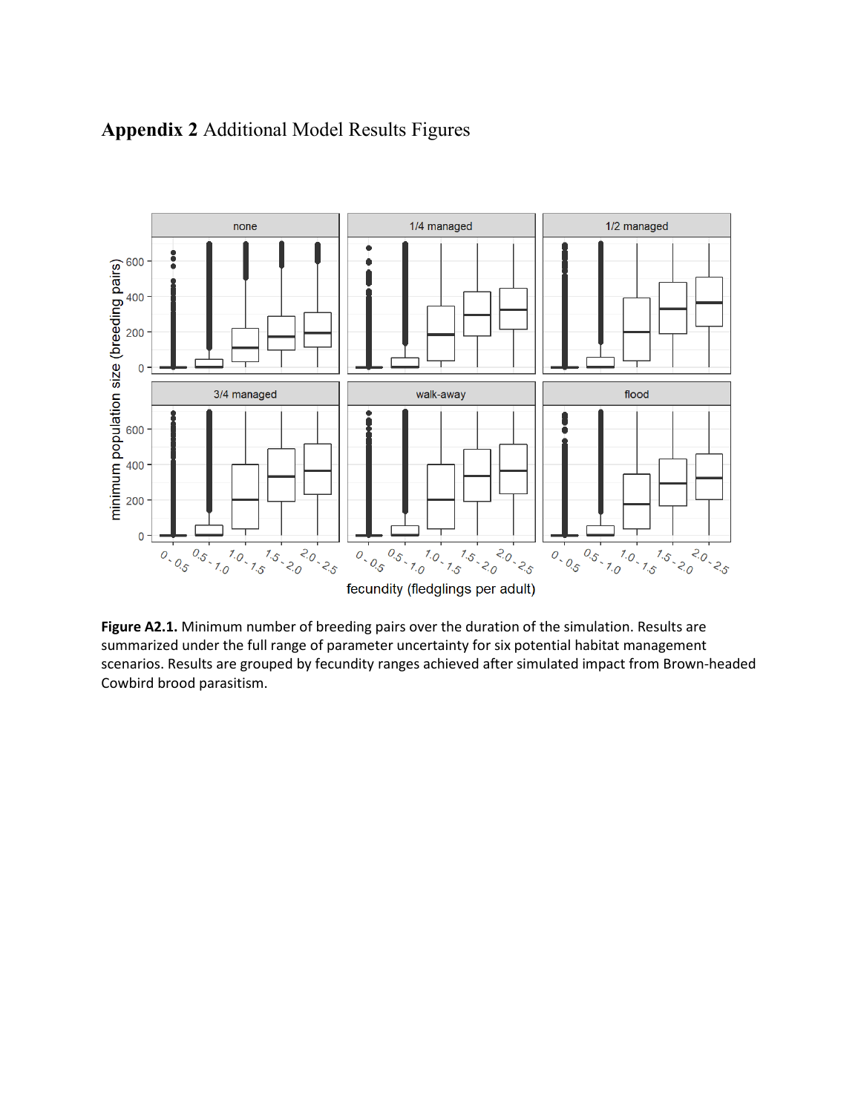## **Appendix 2** Additional Model Results Figures



**Figure A2.1.** Minimum number of breeding pairs over the duration of the simulation. Results are summarized under the full range of parameter uncertainty for six potential habitat management scenarios. Results are grouped by fecundity ranges achieved after simulated impact from Brown-headed Cowbird brood parasitism.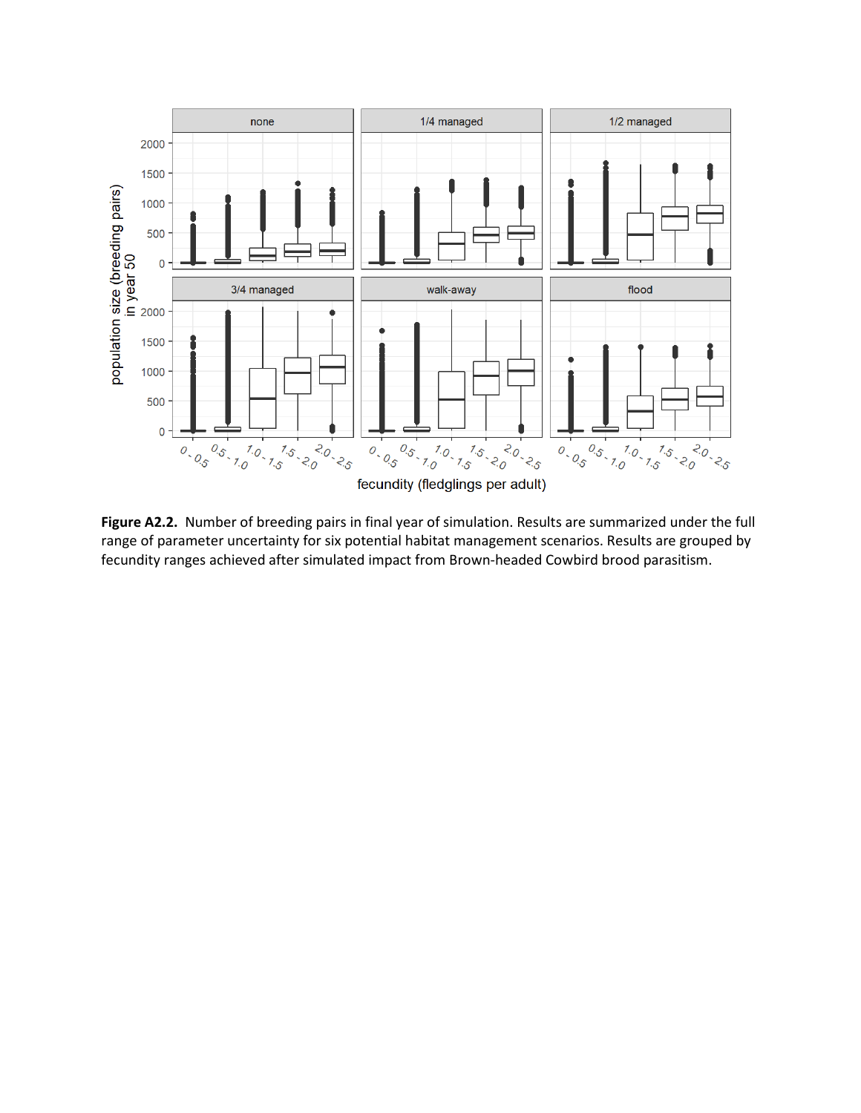

**Figure A2.2.** Number of breeding pairs in final year of simulation. Results are summarized under the full range of parameter uncertainty for six potential habitat management scenarios. Results are grouped by fecundity ranges achieved after simulated impact from Brown-headed Cowbird brood parasitism.